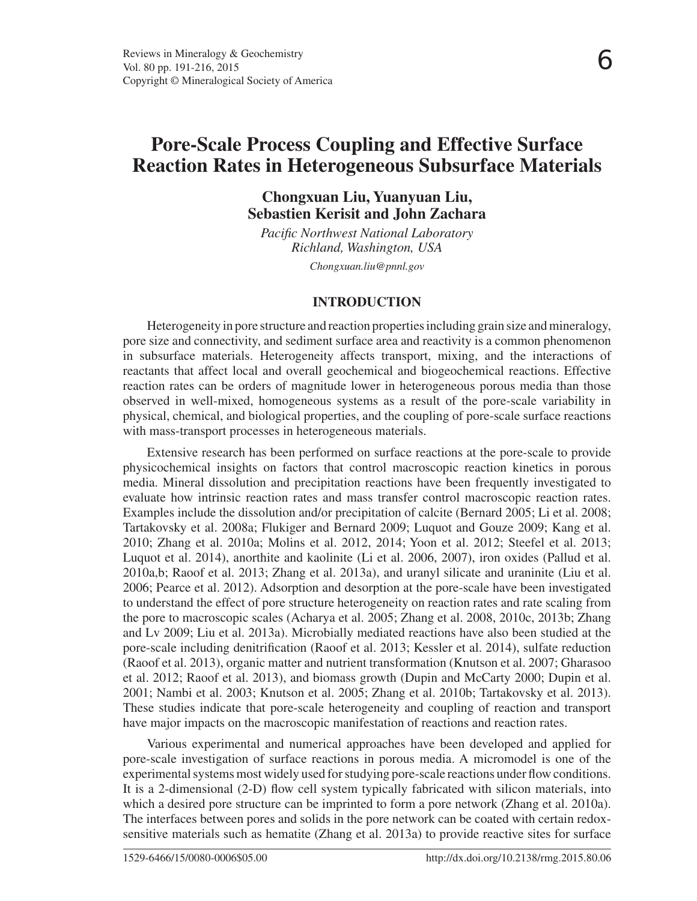# **Chongxuan Liu, Yuanyuan Liu, Sebastien Kerisit and John Zachara**

*Pacific Northwest National Laboratory Richland, Washington, USA*

*Chongxuan.liu@pnnl.gov*

## **INTRODUCTION**

Heterogeneity in pore structure and reaction properties including grain size and mineralogy, pore size and connectivity, and sediment surface area and reactivity is a common phenomenon in subsurface materials. Heterogeneity affects transport, mixing, and the interactions of reactants that affect local and overall geochemical and biogeochemical reactions. Effective reaction rates can be orders of magnitude lower in heterogeneous porous media than those observed in well-mixed, homogeneous systems as a result of the pore-scale variability in physical, chemical, and biological properties, and the coupling of pore-scale surface reactions with mass-transport processes in heterogeneous materials.

Extensive research has been performed on surface reactions at the pore-scale to provide physicochemical insights on factors that control macroscopic reaction kinetics in porous media. Mineral dissolution and precipitation reactions have been frequently investigated to evaluate how intrinsic reaction rates and mass transfer control macroscopic reaction rates. Examples include the dissolution and/or precipitation of calcite (Bernard 2005; Li et al. 2008; Tartakovsky et al. 2008a; Flukiger and Bernard 2009; Luquot and Gouze 2009; Kang et al. 2010; Zhang et al. 2010a; Molins et al. 2012, 2014; Yoon et al. 2012; Steefel et al. 2013; Luquot et al. 2014), anorthite and kaolinite (Li et al. 2006, 2007), iron oxides (Pallud et al. 2010a,b; Raoof et al. 2013; Zhang et al. 2013a), and uranyl silicate and uraninite (Liu et al. 2006; Pearce et al. 2012). Adsorption and desorption at the pore-scale have been investigated to understand the effect of pore structure heterogeneity on reaction rates and rate scaling from the pore to macroscopic scales (Acharya et al. 2005; Zhang et al. 2008, 2010c, 2013b; Zhang and Lv 2009; Liu et al. 2013a). Microbially mediated reactions have also been studied at the pore-scale including denitrification (Raoof et al. 2013; Kessler et al. 2014), sulfate reduction (Raoof et al. 2013), organic matter and nutrient transformation (Knutson et al. 2007; Gharasoo et al. 2012; Raoof et al. 2013), and biomass growth (Dupin and McCarty 2000; Dupin et al. 2001; Nambi et al. 2003; Knutson et al. 2005; Zhang et al. 2010b; Tartakovsky et al. 2013). These studies indicate that pore-scale heterogeneity and coupling of reaction and transport have major impacts on the macroscopic manifestation of reactions and reaction rates.

Various experimental and numerical approaches have been developed and applied for pore-scale investigation of surface reactions in porous media. A micromodel is one of the experimental systems most widely used for studying pore-scale reactions under flow conditions. It is a 2-dimensional (2-D) flow cell system typically fabricated with silicon materials, into which a desired pore structure can be imprinted to form a pore network (Zhang et al. 2010a). The interfaces between pores and solids in the pore network can be coated with certain redoxsensitive materials such as hematite (Zhang et al. 2013a) to provide reactive sites for surface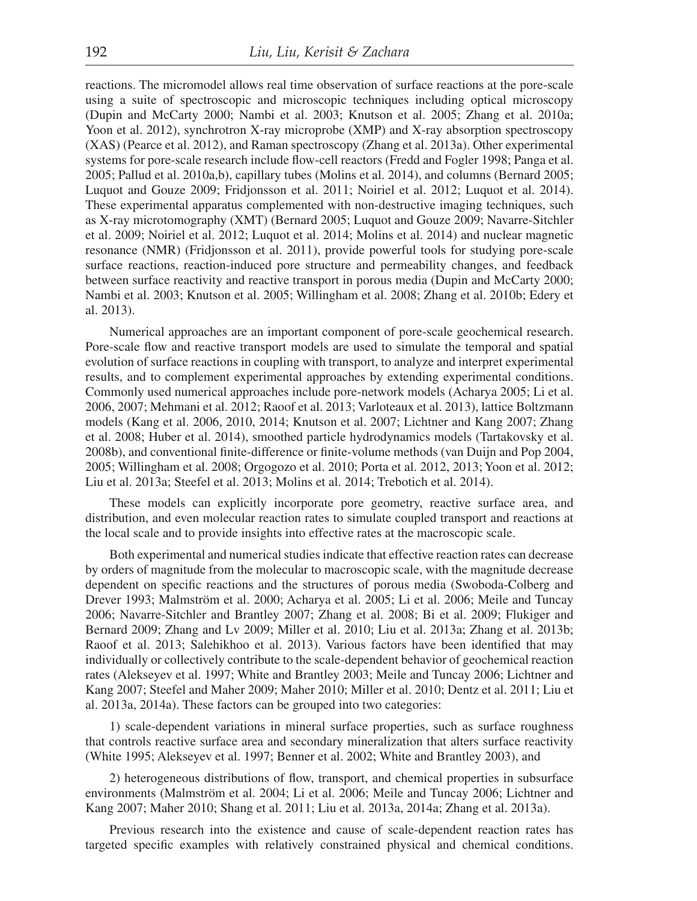reactions. The micromodel allows real time observation of surface reactions at the pore-scale using a suite of spectroscopic and microscopic techniques including optical microscopy (Dupin and McCarty 2000; Nambi et al. 2003; Knutson et al. 2005; Zhang et al. 2010a; Yoon et al. 2012), synchrotron X-ray microprobe (XMP) and X-ray absorption spectroscopy (XAS) (Pearce et al. 2012), and Raman spectroscopy (Zhang et al. 2013a). Other experimental systems for pore-scale research include flow-cell reactors (Fredd and Fogler 1998; Panga et al. 2005; Pallud et al. 2010a,b), capillary tubes (Molins et al. 2014), and columns (Bernard 2005; Luquot and Gouze 2009; Fridjonsson et al. 2011; Noiriel et al. 2012; Luquot et al. 2014). These experimental apparatus complemented with non-destructive imaging techniques, such as X-ray microtomography (XMT) (Bernard 2005; Luquot and Gouze 2009; Navarre-Sitchler et al. 2009; Noiriel et al. 2012; Luquot et al. 2014; Molins et al. 2014) and nuclear magnetic resonance (NMR) (Fridjonsson et al. 2011), provide powerful tools for studying pore-scale surface reactions, reaction-induced pore structure and permeability changes, and feedback between surface reactivity and reactive transport in porous media (Dupin and McCarty 2000; Nambi et al. 2003; Knutson et al. 2005; Willingham et al. 2008; Zhang et al. 2010b; Edery et al. 2013).

Numerical approaches are an important component of pore-scale geochemical research. Pore-scale flow and reactive transport models are used to simulate the temporal and spatial evolution of surface reactions in coupling with transport, to analyze and interpret experimental results, and to complement experimental approaches by extending experimental conditions. Commonly used numerical approaches include pore-network models (Acharya 2005; Li et al. 2006, 2007; Mehmani et al. 2012; Raoof et al. 2013; Varloteaux et al. 2013), lattice Boltzmann models (Kang et al. 2006, 2010, 2014; Knutson et al. 2007; Lichtner and Kang 2007; Zhang et al. 2008; Huber et al. 2014), smoothed particle hydrodynamics models (Tartakovsky et al. 2008b), and conventional finite-difference or finite-volume methods (van Duijn and Pop 2004, 2005; Willingham et al. 2008; Orgogozo et al. 2010; Porta et al. 2012, 2013; Yoon et al. 2012; Liu et al. 2013a; Steefel et al. 2013; Molins et al. 2014; Trebotich et al. 2014).

These models can explicitly incorporate pore geometry, reactive surface area, and distribution, and even molecular reaction rates to simulate coupled transport and reactions at the local scale and to provide insights into effective rates at the macroscopic scale.

Both experimental and numerical studies indicate that effective reaction rates can decrease by orders of magnitude from the molecular to macroscopic scale, with the magnitude decrease dependent on specific reactions and the structures of porous media (Swoboda-Colberg and Drever 1993; Malmström et al. 2000; Acharya et al. 2005; Li et al. 2006; Meile and Tuncay 2006; Navarre-Sitchler and Brantley 2007; Zhang et al. 2008; Bi et al. 2009; Flukiger and Bernard 2009; Zhang and Lv 2009; Miller et al. 2010; Liu et al. 2013a; Zhang et al. 2013b; Raoof et al. 2013; Salehikhoo et al. 2013). Various factors have been identified that may individually or collectively contribute to the scale-dependent behavior of geochemical reaction rates (Alekseyev et al. 1997; White and Brantley 2003; Meile and Tuncay 2006; Lichtner and Kang 2007; Steefel and Maher 2009; Maher 2010; Miller et al. 2010; Dentz et al. 2011; Liu et al. 2013a, 2014a). These factors can be grouped into two categories:

1) scale-dependent variations in mineral surface properties, such as surface roughness that controls reactive surface area and secondary mineralization that alters surface reactivity (White 1995; Alekseyev et al. 1997; Benner et al. 2002; White and Brantley 2003), and

2) heterogeneous distributions of flow, transport, and chemical properties in subsurface environments (Malmström et al. 2004; Li et al. 2006; Meile and Tuncay 2006; Lichtner and Kang 2007; Maher 2010; Shang et al. 2011; Liu et al. 2013a, 2014a; Zhang et al. 2013a).

Previous research into the existence and cause of scale-dependent reaction rates has targeted specific examples with relatively constrained physical and chemical conditions.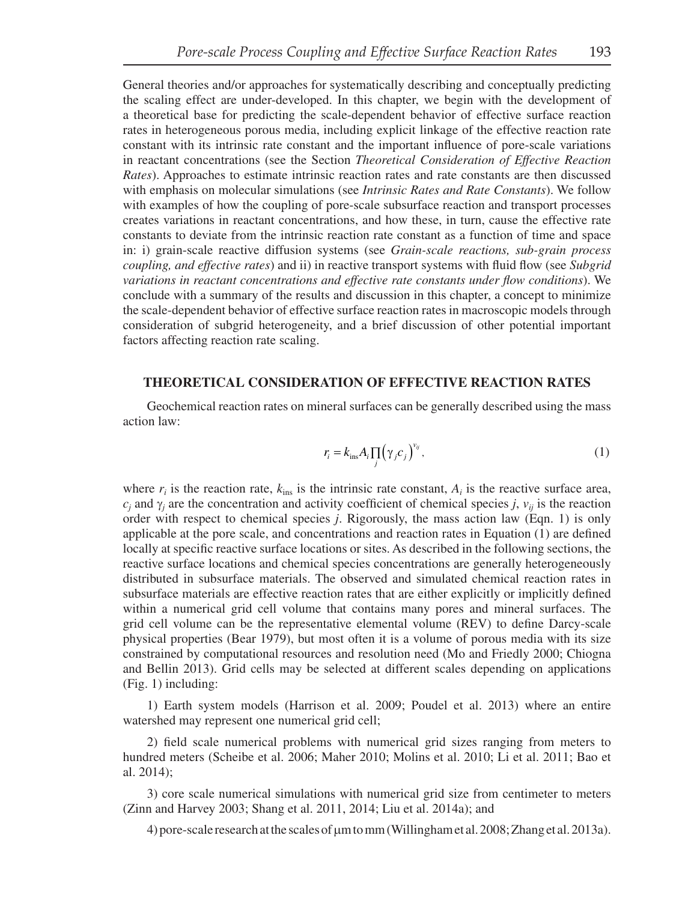General theories and/or approaches for systematically describing and conceptually predicting the scaling effect are under-developed. In this chapter, we begin with the development of a theoretical base for predicting the scale-dependent behavior of effective surface reaction rates in heterogeneous porous media, including explicit linkage of the effective reaction rate constant with its intrinsic rate constant and the important influence of pore-scale variations in reactant concentrations (see the Section *Theoretical Consideration of Effective Reaction Rates*). Approaches to estimate intrinsic reaction rates and rate constants are then discussed with emphasis on molecular simulations (see *Intrinsic Rates and Rate Constants*). We follow with examples of how the coupling of pore-scale subsurface reaction and transport processes creates variations in reactant concentrations, and how these, in turn, cause the effective rate constants to deviate from the intrinsic reaction rate constant as a function of time and space in: i) grain-scale reactive diffusion systems (see *Grain-scale reactions, sub-grain process coupling, and effective rates*) and ii) in reactive transport systems with fluid flow (see *Subgrid variations in reactant concentrations and effective rate constants under flow conditions*). We conclude with a summary of the results and discussion in this chapter, a concept to minimize the scale-dependent behavior of effective surface reaction rates in macroscopic models through consideration of subgrid heterogeneity, and a brief discussion of other potential important factors affecting reaction rate scaling.

### **THEORETICAL CONSIDERATION OF EFFECTIVE REACTION RATES**

Geochemical reaction rates on mineral surfaces can be generally described using the mass action law:

$$
r_i = k_{\text{ins}} A_i \prod_j (\gamma_j c_j)^{v_j}, \qquad (1)
$$

where  $r_i$  is the reaction rate,  $k_{ins}$  is the intrinsic rate constant,  $A_i$  is the reactive surface area,  $c_j$  and  $\gamma_j$  are the concentration and activity coefficient of chemical species *j*,  $v_{ij}$  is the reaction order with respect to chemical species *j*. Rigorously, the mass action law (Eqn. 1) is only applicable at the pore scale, and concentrations and reaction rates in Equation (1) are defined locally at specific reactive surface locations or sites. As described in the following sections, the reactive surface locations and chemical species concentrations are generally heterogeneously distributed in subsurface materials. The observed and simulated chemical reaction rates in subsurface materials are effective reaction rates that are either explicitly or implicitly defined within a numerical grid cell volume that contains many pores and mineral surfaces. The grid cell volume can be the representative elemental volume (REV) to define Darcy-scale physical properties (Bear 1979), but most often it is a volume of porous media with its size constrained by computational resources and resolution need (Mo and Friedly 2000; Chiogna and Bellin 2013). Grid cells may be selected at different scales depending on applications (Fig. 1) including:

1) Earth system models (Harrison et al. 2009; Poudel et al. 2013) where an entire watershed may represent one numerical grid cell;

2) field scale numerical problems with numerical grid sizes ranging from meters to hundred meters (Scheibe et al. 2006; Maher 2010; Molins et al. 2010; Li et al. 2011; Bao et al. 2014);

3) core scale numerical simulations with numerical grid size from centimeter to meters (Zinn and Harvey 2003; Shang et al. 2011, 2014; Liu et al. 2014a); and

4) pore-scale research at the scales of  $\mu$ m to mm (Willingham et al. 2008; Zhang et al. 2013a).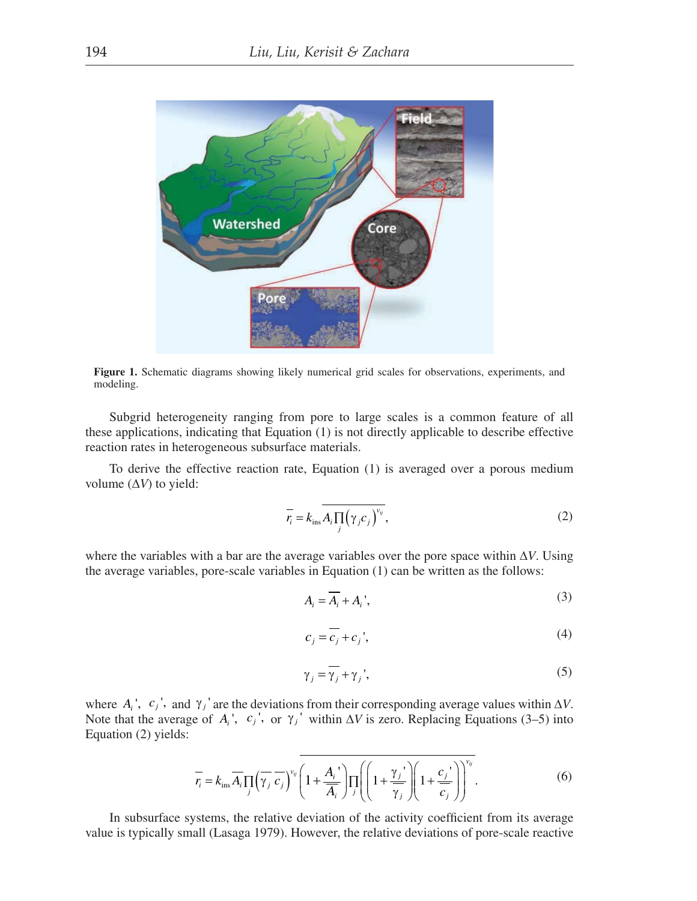

**Figure 1.** Schematic diagrams showing likely numerical grid scales for observations, experiments, and modeling.

Subgrid heterogeneity ranging from pore to large scales is a common feature of all these applications, indicating that Equation (1) is not directly applicable to describe effective reaction rates in heterogeneous subsurface materials.

To derive the effective reaction rate, Equation (1) is averaged over a porous medium volume  $(\Delta V)$  to yield:

$$
\overline{r_i} = k_{\text{ins}} \overline{A_i \prod_j (\gamma_j c_j)^{v_{ij}}},\tag{2}
$$

where the variables with a bar are the average variables over the pore space within  $\Delta V$ . Using the average variables, pore-scale variables in Equation (1) can be written as the follows:

$$
A_i = \overline{A_i} + A_i',\tag{3}
$$

$$
c_j = \overline{c_j} + c_j',\tag{4}
$$

$$
\gamma_j = \overline{\gamma_j} + \gamma_j',\tag{5}
$$

where  $A_i$ <sup>'</sup>,  $c_j$ <sup>'</sup>, and  $\gamma_j$ <sup>'</sup> are the deviations from their corresponding average values within  $\Delta V$ . Note that the average of  $A_i'$ ,  $c_j'$ , or  $\gamma_j'$  within  $\Delta V$  is zero. Replacing Equations (3–5) into Equation (2) yields:

$$
\overline{r_i} = k_{\text{ins}} \overline{A_i} \prod_j \left( \overline{\gamma_j} \overline{c_j} \right)^{\nu_{ij}} \left( 1 + \frac{A_i}{\overline{A_i}} \right) \prod_j \left( \left( 1 + \frac{\gamma_j}{\overline{\gamma_j}} \right) \left( 1 + \frac{c_j}{\overline{c_j}} \right) \right)^{\nu_{ij}}.
$$
\n(6)

In subsurface systems, the relative deviation of the activity coefficient from its average value is typically small (Lasaga 1979). However, the relative deviations of pore-scale reactive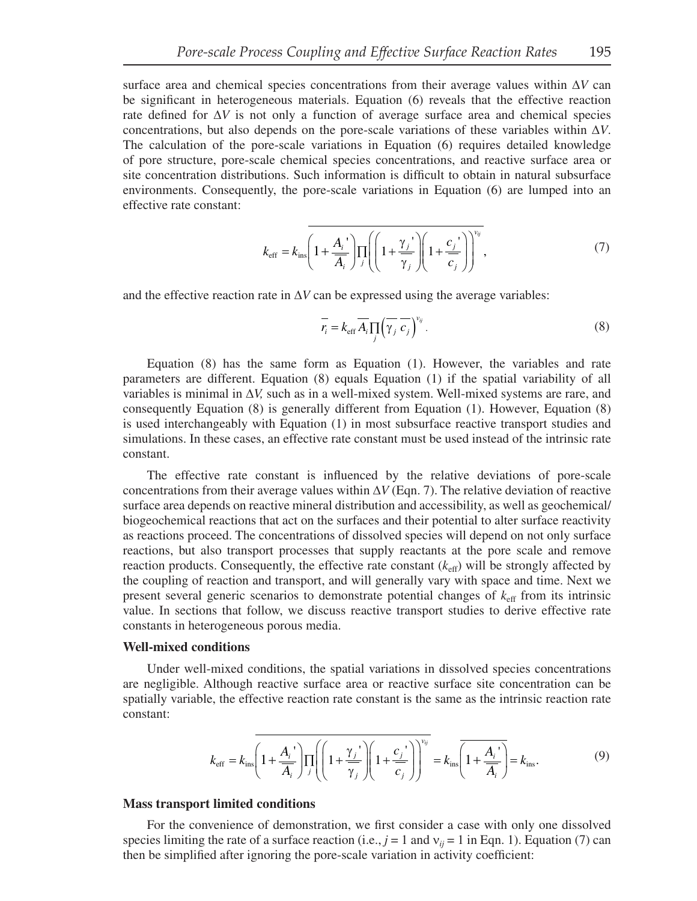surface area and chemical species concentrations from their average values within  $\Delta V$  can be significant in heterogeneous materials. Equation (6) reveals that the effective reaction rate defined for  $\Delta V$  is not only a function of average surface area and chemical species concentrations, but also depends on the pore-scale variations of these variables within  $\Delta V$ . The calculation of the pore-scale variations in Equation (6) requires detailed knowledge of pore structure, pore-scale chemical species concentrations, and reactive surface area or site concentration distributions. Such information is difficult to obtain in natural subsurface environments. Consequently, the pore-scale variations in Equation (6) are lumped into an effective rate constant:

$$
k_{\text{eff}} = k_{\text{ins}} \left( 1 + \frac{A_i^{\ \prime}}{\overline{A_i}} \right) \prod_j \left( \left( 1 + \frac{\gamma_j^{\ \prime}}{\overline{\gamma_j}} \right) \left( 1 + \frac{c_j^{\ \prime}}{\overline{c_j}} \right) \right)^{v_{ij}},\tag{7}
$$

and the effective reaction rate in  $\Delta V$  can be expressed using the average variables:

$$
\overline{r_i} = k_{\text{eff}} \overline{A_i} \prod_j \left( \overline{\gamma_j} \overline{c_j} \right)^{v_{ij}}.
$$
\n(8)

Equation (8) has the same form as Equation (1). However, the variables and rate parameters are different. Equation (8) equals Equation (1) if the spatial variability of all variables is minimal in  $\Delta V$ , such as in a well-mixed system. Well-mixed systems are rare, and consequently Equation (8) is generally different from Equation (1). However, Equation (8) is used interchangeably with Equation (1) in most subsurface reactive transport studies and simulations. In these cases, an effective rate constant must be used instead of the intrinsic rate constant.

The effective rate constant is influenced by the relative deviations of pore-scale concentrations from their average values within  $\Delta V$  (Eqn. 7). The relative deviation of reactive surface area depends on reactive mineral distribution and accessibility, as well as geochemical/ biogeochemical reactions that act on the surfaces and their potential to alter surface reactivity as reactions proceed. The concentrations of dissolved species will depend on not only surface reactions, but also transport processes that supply reactants at the pore scale and remove reaction products. Consequently, the effective rate constant  $(k<sub>eff</sub>)$  will be strongly affected by the coupling of reaction and transport, and will generally vary with space and time. Next we present several generic scenarios to demonstrate potential changes of  $k_{\text{eff}}$  from its intrinsic value. In sections that follow, we discuss reactive transport studies to derive effective rate constants in heterogeneous porous media.

#### **Well-mixed conditions**

Under well-mixed conditions, the spatial variations in dissolved species concentrations are negligible. Although reactive surface area or reactive surface site concentration can be spatially variable, the effective reaction rate constant is the same as the intrinsic reaction rate constant:

$$
k_{\text{eff}} = k_{\text{ins}} \left( 1 + \frac{A_i^{\ \prime}}{\overline{A_i}} \right) \prod_j \left( \left( 1 + \frac{\gamma_j^{\ \prime}}{\overline{\gamma}_j} \right) \left( 1 + \frac{c_j^{\ \prime}}{\overline{c}_j} \right) \right)^{\nu_{ij}} = k_{\text{ins}} \overline{\left( 1 + \frac{A_i^{\ \prime}}{\overline{A}_i} \right)} = k_{\text{ins}}.
$$
 (9)

#### **Mass transport limited conditions**

For the convenience of demonstration, we first consider a case with only one dissolved species limiting the rate of a surface reaction (i.e.,  $j = 1$  and  $v_{ij} = 1$  in Eqn. 1). Equation (7) can then be simplified after ignoring the pore-scale variation in activity coefficient: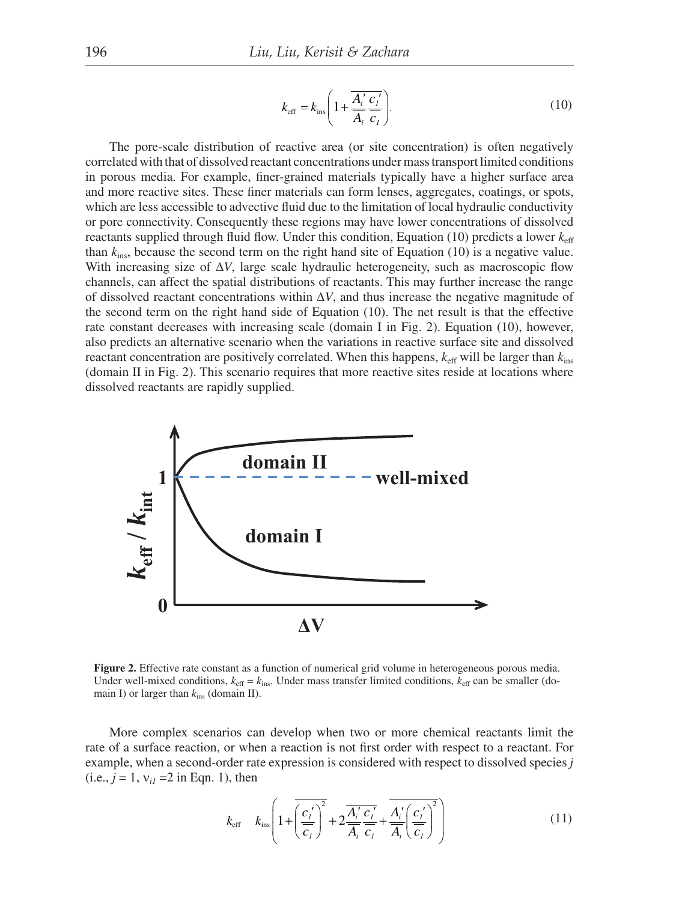$$
k_{\text{eff}} = k_{\text{ins}} \left( 1 + \frac{\overline{A'_i} \ c'_i}{\overline{A_i} \ \overline{c_i}} \right). \tag{10}
$$

The pore-scale distribution of reactive area (or site concentration) is often negatively correlated with that of dissolved reactant concentrations under mass transport limited conditions in porous media. For example, finer-grained materials typically have a higher surface area and more reactive sites. These finer materials can form lenses, aggregates, coatings, or spots, which are less accessible to advective fluid due to the limitation of local hydraulic conductivity or pore connectivity. Consequently these regions may have lower concentrations of dissolved reactants supplied through fluid flow. Under this condition, Equation (10) predicts a lower  $k_{\text{eff}}$ than *k*ins, because the second term on the right hand site of Equation (10) is a negative value. With increasing size of  $\Delta V$ , large scale hydraulic heterogeneity, such as macroscopic flow channels, can affect the spatial distributions of reactants. This may further increase the range of dissolved reactant concentrations within  $\Delta V$ , and thus increase the negative magnitude of the second term on the right hand side of Equation (10). The net result is that the effective rate constant decreases with increasing scale (domain I in Fig. 2). Equation (10), however, also predicts an alternative scenario when the variations in reactive surface site and dissolved reactant concentration are positively correlated. When this happens,  $k_{\text{eff}}$  will be larger than  $k_{\text{ins}}$ (domain II in Fig. 2). This scenario requires that more reactive sites reside at locations where dissolved reactants are rapidly supplied.



**Figure 2.** Effective rate constant as a function of numerical grid volume in heterogeneous porous media. Under well-mixed conditions,  $k_{\text{eff}} = k_{\text{ins}}$ . Under mass transfer limited conditions,  $k_{\text{eff}}$  can be smaller (domain I) or larger than  $k_{ins}$  (domain II).

More complex scenarios can develop when two or more chemical reactants limit the rate of a surface reaction, or when a reaction is not first order with respect to a reactant. For example, when a second-order rate expression is considered with respect to dissolved species *j*  $(i.e., j = 1, v_{ij} = 2 \text{ in Eqn. 1}), \text{ then}$ 

$$
k_{\text{eff}} \quad k_{\text{ins}} \left( 1 + \overline{\left( \frac{c'_l}{\overline{c}_l} \right)^2} + 2 \frac{\overline{A'_i} \overline{c'_l}}{\overline{A}_i} + \frac{\overline{A'_i} \left( \frac{c'_l}{\overline{c}_l} \right)^2}{\overline{A}_i} \right) \tag{11}
$$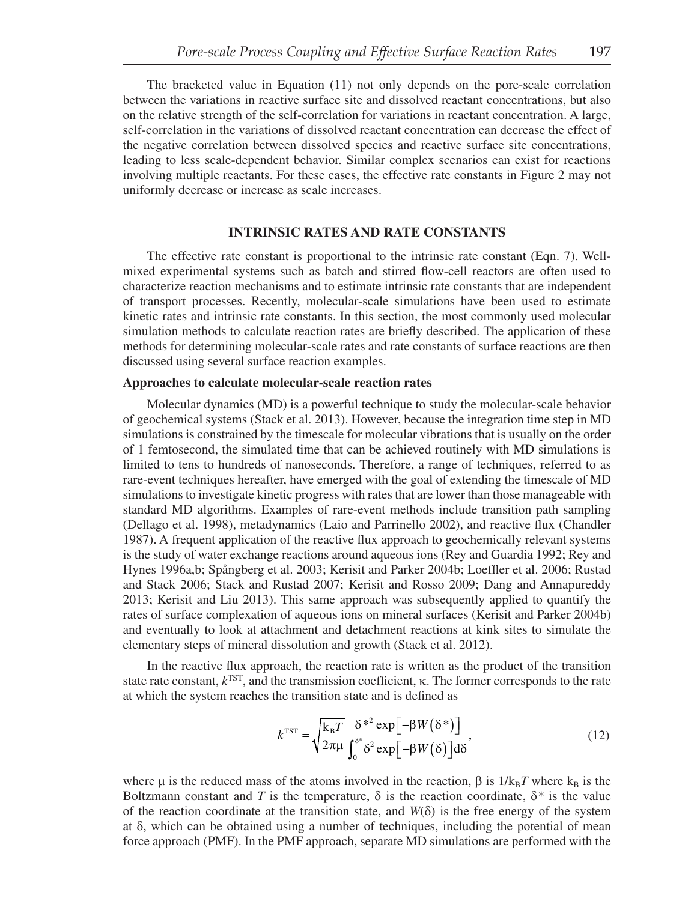The bracketed value in Equation (11) not only depends on the pore-scale correlation between the variations in reactive surface site and dissolved reactant concentrations, but also on the relative strength of the self-correlation for variations in reactant concentration. A large, self-correlation in the variations of dissolved reactant concentration can decrease the effect of the negative correlation between dissolved species and reactive surface site concentrations, leading to less scale-dependent behavior. Similar complex scenarios can exist for reactions involving multiple reactants. For these cases, the effective rate constants in Figure 2 may not uniformly decrease or increase as scale increases.

### **INTRINSIC RATES AND RATE CONSTANTS**

The effective rate constant is proportional to the intrinsic rate constant (Eqn. 7). Wellmixed experimental systems such as batch and stirred flow-cell reactors are often used to characterize reaction mechanisms and to estimate intrinsic rate constants that are independent of transport processes. Recently, molecular-scale simulations have been used to estimate kinetic rates and intrinsic rate constants. In this section, the most commonly used molecular simulation methods to calculate reaction rates are briefly described. The application of these methods for determining molecular-scale rates and rate constants of surface reactions are then discussed using several surface reaction examples.

### **Approaches to calculate molecular-scale reaction rates**

Molecular dynamics (MD) is a powerful technique to study the molecular-scale behavior of geochemical systems (Stack et al. 2013). However, because the integration time step in MD simulations is constrained by the timescale for molecular vibrations that is usually on the order of 1 femtosecond, the simulated time that can be achieved routinely with MD simulations is limited to tens to hundreds of nanoseconds. Therefore, a range of techniques, referred to as rare-event techniques hereafter, have emerged with the goal of extending the timescale of MD simulations to investigate kinetic progress with rates that are lower than those manageable with standard MD algorithms. Examples of rare-event methods include transition path sampling (Dellago et al. 1998), metadynamics (Laio and Parrinello 2002), and reactive flux (Chandler 1987). A frequent application of the reactive flux approach to geochemically relevant systems is the study of water exchange reactions around aqueous ions (Rey and Guardia 1992; Rey and Hynes 1996a,b; Spångberg et al. 2003; Kerisit and Parker 2004b; Loeffler et al. 2006; Rustad and Stack 2006; Stack and Rustad 2007; Kerisit and Rosso 2009; Dang and Annapureddy 2013; Kerisit and Liu 2013). This same approach was subsequently applied to quantify the rates of surface complexation of aqueous ions on mineral surfaces (Kerisit and Parker 2004b) and eventually to look at attachment and detachment reactions at kink sites to simulate the elementary steps of mineral dissolution and growth (Stack et al. 2012).

In the reactive flux approach, the reaction rate is written as the product of the transition state rate constant,  $k^{\text{TST}}$ , and the transmission coefficient,  $\kappa$ . The former corresponds to the rate at which the system reaches the transition state and is defined as

$$
k^{\text{TST}} = \sqrt{\frac{k_{\text{B}}T}{2\pi\mu}} \frac{\delta^{*2} \exp[-\beta W(\delta^*)]}{\int_0^{8\pi} \delta^2 \exp[-\beta W(\delta)] d\delta},\tag{12}
$$

where  $\mu$  is the reduced mass of the atoms involved in the reaction,  $\beta$  is  $1/k_BT$  where  $k_B$  is the Boltzmann constant and *T* is the temperature,  $\delta$  is the reaction coordinate,  $\delta^*$  is the value of the reaction coordinate at the transition state, and  $W(\delta)$  is the free energy of the system at  $\delta$ , which can be obtained using a number of techniques, including the potential of mean force approach (PMF). In the PMF approach, separate MD simulations are performed with the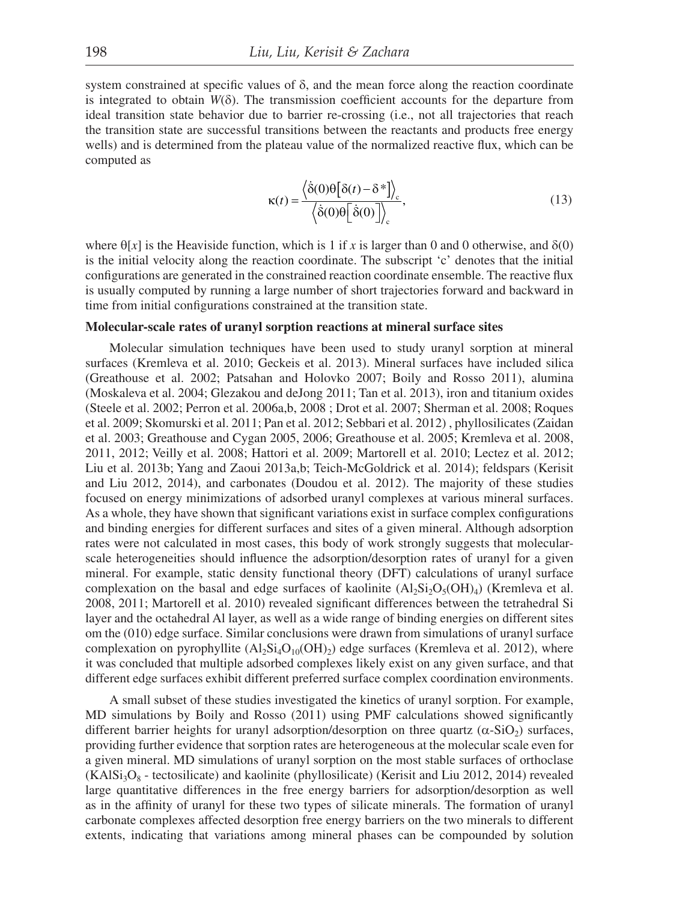system constrained at specific values of  $\delta$ , and the mean force along the reaction coordinate is integrated to obtain  $W(\delta)$ . The transmission coefficient accounts for the departure from ideal transition state behavior due to barrier re-crossing (i.e., not all trajectories that reach the transition state are successful transitions between the reactants and products free energy wells) and is determined from the plateau value of the normalized reactive flux, which can be computed as

$$
\kappa(t) = \frac{\langle \dot{\delta}(0)\theta[\delta(t) - \delta^*] \rangle_c}{\langle \dot{\delta}(0)\theta[\dot{\delta}(0)] \rangle_c},
$$
\n(13)

where  $\theta[x]$  is the Heaviside function, which is 1 if *x* is larger than 0 and 0 otherwise, and  $\delta(0)$ is the initial velocity along the reaction coordinate. The subscript 'c' denotes that the initial configurations are generated in the constrained reaction coordinate ensemble. The reactive flux is usually computed by running a large number of short trajectories forward and backward in time from initial configurations constrained at the transition state.

#### **Molecular-scale rates of uranyl sorption reactions at mineral surface sites**

Molecular simulation techniques have been used to study uranyl sorption at mineral surfaces (Kremleva et al. 2010; Geckeis et al. 2013). Mineral surfaces have included silica (Greathouse et al. 2002; Patsahan and Holovko 2007; Boily and Rosso 2011), alumina (Moskaleva et al. 2004; Glezakou and deJong 2011; Tan et al. 2013), iron and titanium oxides (Steele et al. 2002; Perron et al. 2006a,b, 2008 ; Drot et al. 2007; Sherman et al. 2008; Roques et al. 2009; Skomurski et al. 2011; Pan et al. 2012; Sebbari et al. 2012) , phyllosilicates (Zaidan et al. 2003; Greathouse and Cygan 2005, 2006; Greathouse et al. 2005; Kremleva et al. 2008, 2011, 2012; Veilly et al. 2008; Hattori et al. 2009; Martorell et al. 2010; Lectez et al. 2012; Liu et al. 2013b; Yang and Zaoui 2013a,b; Teich-McGoldrick et al. 2014); feldspars (Kerisit and Liu 2012, 2014), and carbonates (Doudou et al. 2012). The majority of these studies focused on energy minimizations of adsorbed uranyl complexes at various mineral surfaces. As a whole, they have shown that significant variations exist in surface complex configurations and binding energies for different surfaces and sites of a given mineral. Although adsorption rates were not calculated in most cases, this body of work strongly suggests that molecularscale heterogeneities should influence the adsorption/desorption rates of uranyl for a given mineral. For example, static density functional theory (DFT) calculations of uranyl surface complexation on the basal and edge surfaces of kaolinite  $(A_2Si_2O_5(OH)_4)$  (Kremleva et al. 2008, 2011; Martorell et al. 2010) revealed significant differences between the tetrahedral Si layer and the octahedral Al layer, as well as a wide range of binding energies on different sites om the (010) edge surface. Similar conclusions were drawn from simulations of uranyl surface complexation on pyrophyllite  $(Al_2Si_4O_{10}(OH_2))$  edge surfaces (Kremleva et al. 2012), where it was concluded that multiple adsorbed complexes likely exist on any given surface, and that different edge surfaces exhibit different preferred surface complex coordination environments.

A small subset of these studies investigated the kinetics of uranyl sorption. For example, MD simulations by Boily and Rosso (2011) using PMF calculations showed significantly different barrier heights for uranyl adsorption/desorption on three quartz  $(\alpha$ -SiO<sub>2</sub>) surfaces, providing further evidence that sorption rates are heterogeneous at the molecular scale even for a given mineral. MD simulations of uranyl sorption on the most stable surfaces of orthoclase  $(KAISi<sub>3</sub>O<sub>8</sub> - \text{tecosilicate})$  and kaolinite (phyllosilicate) (Kerisit and Liu 2012, 2014) revealed large quantitative differences in the free energy barriers for adsorption/desorption as well as in the affinity of uranyl for these two types of silicate minerals. The formation of uranyl carbonate complexes affected desorption free energy barriers on the two minerals to different extents, indicating that variations among mineral phases can be compounded by solution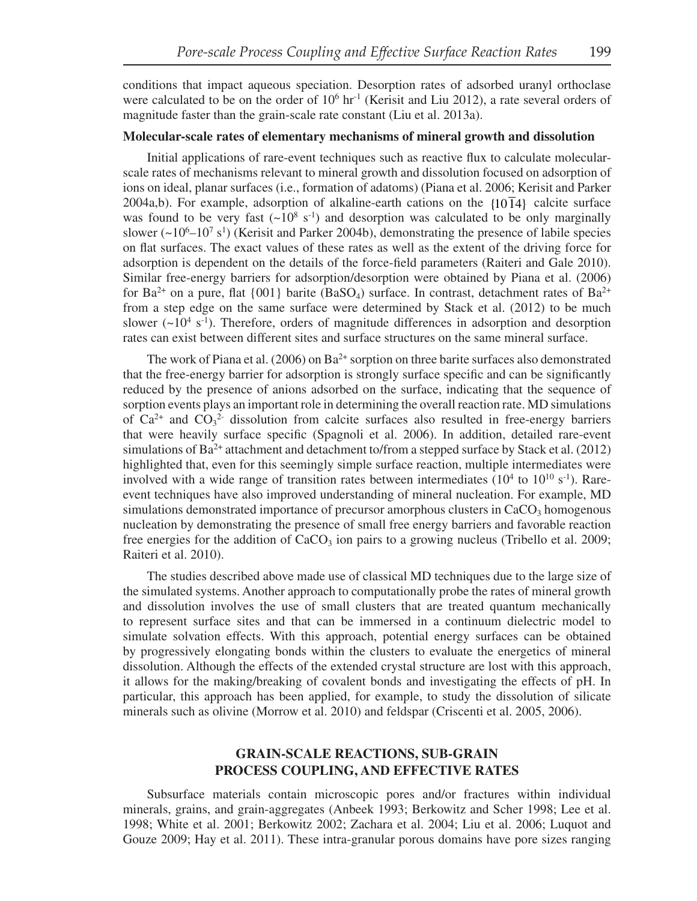conditions that impact aqueous speciation. Desorption rates of adsorbed uranyl orthoclase were calculated to be on the order of  $10^6$  hr<sup>-1</sup> (Kerisit and Liu 2012), a rate several orders of magnitude faster than the grain-scale rate constant (Liu et al. 2013a).

### **Molecular-scale rates of elementary mechanisms of mineral growth and dissolution**

Initial applications of rare-event techniques such as reactive flux to calculate molecularscale rates of mechanisms relevant to mineral growth and dissolution focused on adsorption of ions on ideal, planar surfaces (i.e., formation of adatoms) (Piana et al. 2006; Kerisit and Parker 2004a,b). For example, adsorption of alkaline-earth cations on the {1014} calcite surface was found to be very fast  $({\sim}10^8 \text{ s}^{-1})$  and desorption was calculated to be only marginally slower  $({\sim}10^{6}-10^{7} s^{1})$  (Kerisit and Parker 2004b), demonstrating the presence of labile species on flat surfaces. The exact values of these rates as well as the extent of the driving force for adsorption is dependent on the details of the force-field parameters (Raiteri and Gale 2010). Similar free-energy barriers for adsorption/desorption were obtained by Piana et al. (2006) for Ba<sup>2+</sup> on a pure, flat {001} barite (BaSO<sub>4</sub>) surface. In contrast, detachment rates of Ba<sup>2+</sup> from a step edge on the same surface were determined by Stack et al. (2012) to be much slower  $({\sim}10^4 \text{ s}^{-1})$ . Therefore, orders of magnitude differences in adsorption and desorption rates can exist between different sites and surface structures on the same mineral surface.

The work of Piana et al. (2006) on  $Ba^{2+}$  sorption on three barite surfaces also demonstrated that the free-energy barrier for adsorption is strongly surface specific and can be significantly reduced by the presence of anions adsorbed on the surface, indicating that the sequence of sorption events plays an important role in determining the overall reaction rate. MD simulations of  $Ca^{2+}$  and  $CO_3^2$  dissolution from calcite surfaces also resulted in free-energy barriers that were heavily surface specific (Spagnoli et al. 2006). In addition, detailed rare-event simulations of  $Ba^{2+}$  attachment and detachment to/from a stepped surface by Stack et al. (2012) highlighted that, even for this seemingly simple surface reaction, multiple intermediates were involved with a wide range of transition rates between intermediates  $(10^4 \text{ to } 10^{10} \text{ s}^{-1})$ . Rareevent techniques have also improved understanding of mineral nucleation. For example, MD simulations demonstrated importance of precursor amorphous clusters in  $CaCO<sub>3</sub>$  homogenous nucleation by demonstrating the presence of small free energy barriers and favorable reaction free energies for the addition of  $CaCO<sub>3</sub>$  ion pairs to a growing nucleus (Tribello et al. 2009; Raiteri et al. 2010).

The studies described above made use of classical MD techniques due to the large size of the simulated systems. Another approach to computationally probe the rates of mineral growth and dissolution involves the use of small clusters that are treated quantum mechanically to represent surface sites and that can be immersed in a continuum dielectric model to simulate solvation effects. With this approach, potential energy surfaces can be obtained by progressively elongating bonds within the clusters to evaluate the energetics of mineral dissolution. Although the effects of the extended crystal structure are lost with this approach, it allows for the making/breaking of covalent bonds and investigating the effects of pH. In particular, this approach has been applied, for example, to study the dissolution of silicate minerals such as olivine (Morrow et al. 2010) and feldspar (Criscenti et al. 2005, 2006).

## **GRAIN-SCALE REACTIONS, SUB-GRAIN PROCESS COUPLING, AND EFFECTIVE RATES**

Subsurface materials contain microscopic pores and/or fractures within individual minerals, grains, and grain-aggregates (Anbeek 1993; Berkowitz and Scher 1998; Lee et al. 1998; White et al. 2001; Berkowitz 2002; Zachara et al. 2004; Liu et al. 2006; Luquot and Gouze 2009; Hay et al. 2011). These intra-granular porous domains have pore sizes ranging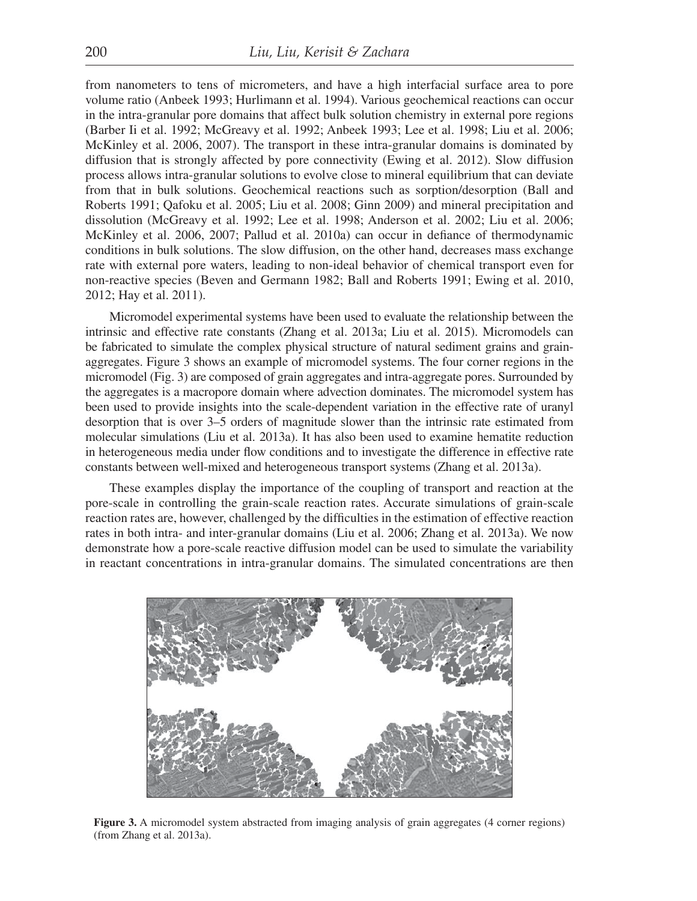from nanometers to tens of micrometers, and have a high interfacial surface area to pore volume ratio (Anbeek 1993; Hurlimann et al. 1994). Various geochemical reactions can occur in the intra-granular pore domains that affect bulk solution chemistry in external pore regions (Barber Ii et al. 1992; McGreavy et al. 1992; Anbeek 1993; Lee et al. 1998; Liu et al. 2006; McKinley et al. 2006, 2007). The transport in these intra-granular domains is dominated by diffusion that is strongly affected by pore connectivity (Ewing et al. 2012). Slow diffusion process allows intra-granular solutions to evolve close to mineral equilibrium that can deviate from that in bulk solutions. Geochemical reactions such as sorption/desorption (Ball and Roberts 1991; Qafoku et al. 2005; Liu et al. 2008; Ginn 2009) and mineral precipitation and dissolution (McGreavy et al. 1992; Lee et al. 1998; Anderson et al. 2002; Liu et al. 2006; McKinley et al. 2006, 2007; Pallud et al. 2010a) can occur in defiance of thermodynamic conditions in bulk solutions. The slow diffusion, on the other hand, decreases mass exchange rate with external pore waters, leading to non-ideal behavior of chemical transport even for non-reactive species (Beven and Germann 1982; Ball and Roberts 1991; Ewing et al. 2010, 2012; Hay et al. 2011).

Micromodel experimental systems have been used to evaluate the relationship between the intrinsic and effective rate constants (Zhang et al. 2013a; Liu et al. 2015). Micromodels can be fabricated to simulate the complex physical structure of natural sediment grains and grainaggregates. Figure 3 shows an example of micromodel systems. The four corner regions in the micromodel (Fig. 3) are composed of grain aggregates and intra-aggregate pores. Surrounded by the aggregates is a macropore domain where advection dominates. The micromodel system has been used to provide insights into the scale-dependent variation in the effective rate of uranyl desorption that is over 3–5 orders of magnitude slower than the intrinsic rate estimated from molecular simulations (Liu et al. 2013a). It has also been used to examine hematite reduction in heterogeneous media under flow conditions and to investigate the difference in effective rate constants between well-mixed and heterogeneous transport systems (Zhang et al. 2013a).

These examples display the importance of the coupling of transport and reaction at the pore-scale in controlling the grain-scale reaction rates. Accurate simulations of grain-scale reaction rates are, however, challenged by the difficulties in the estimation of effective reaction rates in both intra- and inter-granular domains (Liu et al. 2006; Zhang et al. 2013a). We now demonstrate how a pore-scale reactive diffusion model can be used to simulate the variability in reactant concentrations in intra-granular domains. The simulated concentrations are then



**Figure 3.** A micromodel system abstracted from imaging analysis of grain aggregates (4 corner regions) (from Zhang et al. 2013a).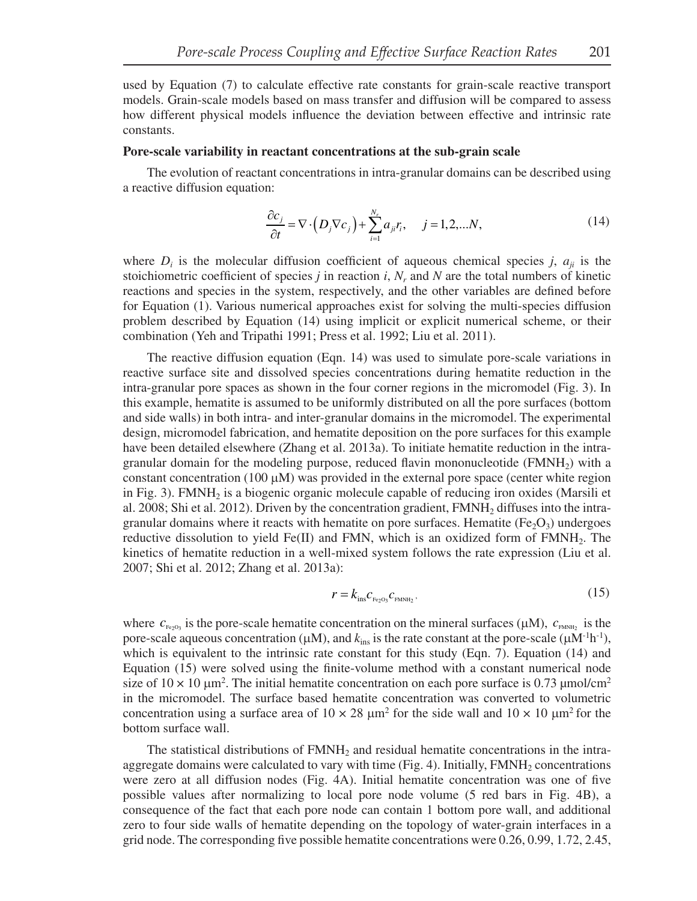used by Equation (7) to calculate effective rate constants for grain-scale reactive transport models. Grain-scale models based on mass transfer and diffusion will be compared to assess how different physical models influence the deviation between effective and intrinsic rate constants.

### **Pore-scale variability in reactant concentrations at the sub-grain scale**

The evolution of reactant concentrations in intra-granular domains can be described using a reactive diffusion equation:

$$
\frac{\partial c_j}{\partial t} = \nabla \cdot \left( D_j \nabla c_j \right) + \sum_{i=1}^{N_r} a_{ji} r_i, \quad j = 1, 2, \dots N,
$$
\n(14)

where  $D_i$  is the molecular diffusion coefficient of aqueous chemical species *j*,  $a_{ji}$  is the stoichiometric coefficient of species *j* in reaction *i*,  $N_r$  and  $N$  are the total numbers of kinetic reactions and species in the system, respectively, and the other variables are defined before for Equation (1). Various numerical approaches exist for solving the multi-species diffusion problem described by Equation (14) using implicit or explicit numerical scheme, or their combination (Yeh and Tripathi 1991; Press et al. 1992; Liu et al. 2011).

The reactive diffusion equation (Eqn. 14) was used to simulate pore-scale variations in reactive surface site and dissolved species concentrations during hematite reduction in the intra-granular pore spaces as shown in the four corner regions in the micromodel (Fig. 3). In this example, hematite is assumed to be uniformly distributed on all the pore surfaces (bottom and side walls) in both intra- and inter-granular domains in the micromodel. The experimental design, micromodel fabrication, and hematite deposition on the pore surfaces for this example have been detailed elsewhere (Zhang et al. 2013a). To initiate hematite reduction in the intragranular domain for the modeling purpose, reduced flavin mononucleotide  $(FMMH<sub>2</sub>)$  with a constant concentration (100  $\mu$ M) was provided in the external pore space (center white region in Fig. 3). FMNH<sub>2</sub> is a biogenic organic molecule capable of reducing iron oxides (Marsili et al. 2008; Shi et al. 2012). Driven by the concentration gradient, FMNH<sub>2</sub> diffuses into the intragranular domains where it reacts with hematite on pore surfaces. Hematite  $(Fe_2O_3)$  undergoes reductive dissolution to yield  $Fe(II)$  and FMN, which is an oxidized form of FMNH<sub>2</sub>. The kinetics of hematite reduction in a well-mixed system follows the rate expression (Liu et al. 2007; Shi et al. 2012; Zhang et al. 2013a):

$$
r = k_{\rm ins} c_{\rm Fe_{2}O_{3}} c_{\rm FMMH_{2}}.\tag{15}
$$

where  $c_{F<sub>eq03</sub>}$  is the pore-scale hematite concentration on the mineral surfaces ( $\mu$ M),  $c_{F<sub>NNH<sub>2</sub>}</sub>$  is the pore-scale aqueous concentration ( $\mu$ M), and  $k_{ins}$  is the rate constant at the pore-scale ( $\mu$ M<sup>-1</sup>h<sup>-1</sup>), which is equivalent to the intrinsic rate constant for this study (Eqn. 7). Equation (14) and Equation  $(15)$  were solved using the finite-volume method with a constant numerical node size of  $10 \times 10 \mu$ m<sup>2</sup>. The initial hematite concentration on each pore surface is 0.73  $\mu$ mol/cm<sup>2</sup> in the micromodel. The surface based hematite concentration was converted to volumetric concentration using a surface area of  $10 \times 28 \mu m^2$  for the side wall and  $10 \times 10 \mu m^2$  for the bottom surface wall.

The statistical distributions of  $FMMH<sub>2</sub>$  and residual hematite concentrations in the intraaggregate domains were calculated to vary with time (Fig. 4). Initially,  $FMMH<sub>2</sub>$  concentrations were zero at all diffusion nodes (Fig. 4A). Initial hematite concentration was one of five possible values after normalizing to local pore node volume (5 red bars in Fig. 4B), a consequence of the fact that each pore node can contain 1 bottom pore wall, and additional zero to four side walls of hematite depending on the topology of water-grain interfaces in a grid node. The corresponding five possible hematite concentrations were  $0.26, 0.99, 1.72, 2.45$ ,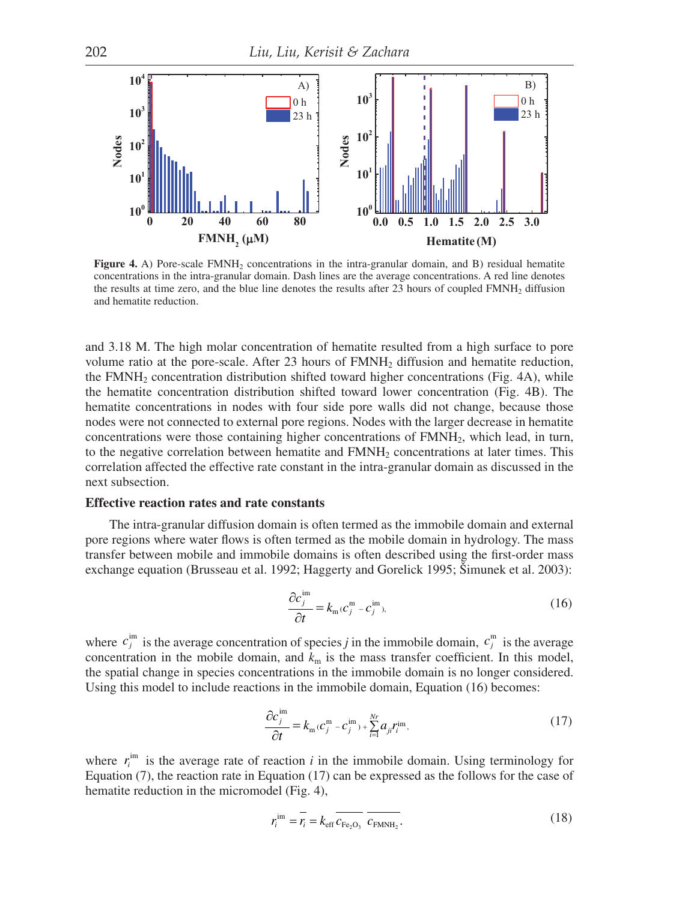

**Figure 4.** A) Pore-scale FMNH<sub>2</sub> concentrations in the intra-granular domain, and B) residual hematite concentrations in the intra-granular domain. Dash lines are the average concentrations. A red line denotes the results at time zero, and the blue line denotes the results after 23 hours of coupled FMNH<sub>2</sub> diffusion and hematite reduction.

and 3.18 M. The high molar concentration of hematite resulted from a high surface to pore volume ratio at the pore-scale. After 23 hours of  $FMMH<sub>2</sub>$  diffusion and hematite reduction, the FMNH<sub>2</sub> concentration distribution shifted toward higher concentrations (Fig. 4A), while the hematite concentration distribution shifted toward lower concentration (Fig. 4B). The hematite concentrations in nodes with four side pore walls did not change, because those nodes were not connected to external pore regions. Nodes with the larger decrease in hematite concentrations were those containing higher concentrations of FMNH<sub>2</sub>, which lead, in turn, to the negative correlation between hematite and  $FMM<sub>2</sub>$  concentrations at later times. This correlation affected the effective rate constant in the intra-granular domain as discussed in the next subsection.

### **Effective reaction rates and rate constants**

The intra-granular diffusion domain is often termed as the immobile domain and external pore regions where water flows is often termed as the mobile domain in hydrology. The mass transfer between mobile and immobile domains is often described using the first-order mass exchange equation (Brusseau et al. 1992; Haggerty and Gorelick 1995; Šimunek et al. 2003):

$$
\frac{\partial c_j^{\text{im}}}{\partial t} = k_{\text{m}} c_j^{\text{m}} - c_j^{\text{im}}),\tag{16}
$$

where  $c_j^{\text{im}}$  is the average concentration of species *j* in the immobile domain,  $c_j^{\text{m}}$  is the average concentration in the mobile domain, and  $k<sub>m</sub>$  is the mass transfer coefficient. In this model, the spatial change in species concentrations in the immobile domain is no longer considered. Using this model to include reactions in the immobile domain, Equation (16) becomes:

$$
\frac{\partial c_j^{\text{im}}}{\partial t} = k_{\text{m}}(c_j^{\text{m}} - c_j^{\text{im}}) + \sum_{i=1}^{Nr} a_{ji} r_i^{\text{im}}.
$$
\n(17)

where  $r_i^{\text{im}}$  is the average rate of reaction *i* in the immobile domain. Using terminology for Equation (7), the reaction rate in Equation (17) can be expressed as the follows for the case of hematite reduction in the micromodel (Fig. 4),

$$
r_i^{\text{im}} = \overline{r_i} = k_{\text{eff}} \overline{c_{\text{Fe}_2\text{O}_3}} \overline{c_{\text{FMMH}_2}}.
$$
 (18)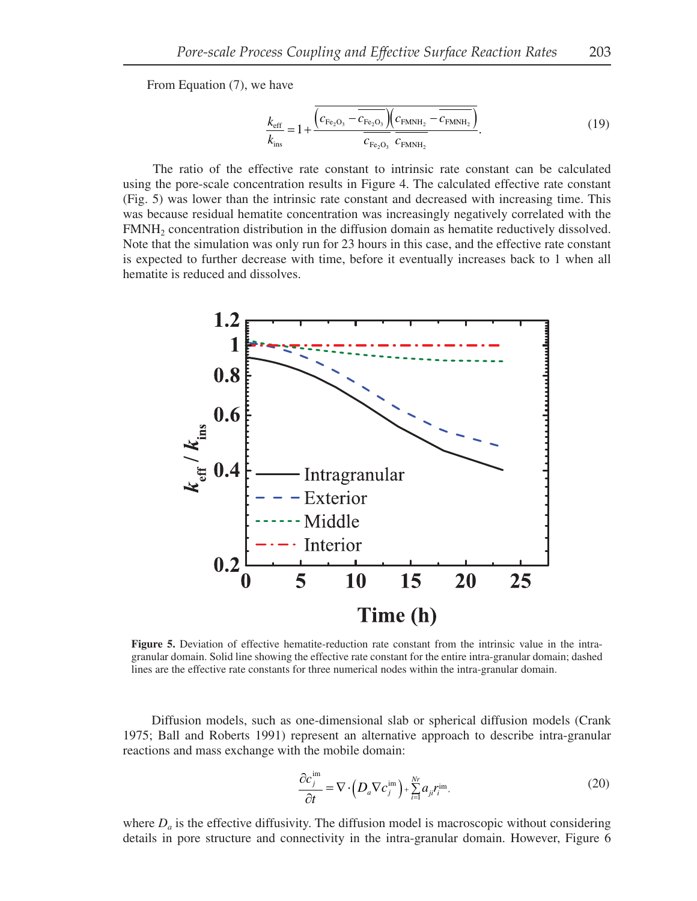From Equation (7), we have

$$
\frac{k_{\text{eff}}}{k_{\text{ins}}} = 1 + \frac{\left(c_{\text{Fe}_2\text{O}_3} - \overline{c_{\text{Fe}_2\text{O}_3}}\right)\left(c_{\text{FMMH}_2} - \overline{c_{\text{FMMH}_2}}\right)}{\overline{c_{\text{Fe}_2\text{O}_3}} \ \overline{c_{\text{FMMH}_2}}}. \tag{19}
$$

 The ratio of the effective rate constant to intrinsic rate constant can be calculated using the pore-scale concentration results in Figure 4. The calculated effective rate constant (Fig. 5) was lower than the intrinsic rate constant and decreased with increasing time. This was because residual hematite concentration was increasingly negatively correlated with the FMNH<sub>2</sub> concentration distribution in the diffusion domain as hematite reductively dissolved. Note that the simulation was only run for 23 hours in this case, and the effective rate constant is expected to further decrease with time, before it eventually increases back to 1 when all hematite is reduced and dissolves.



Figure 5. Deviation of effective hematite-reduction rate constant from the intrinsic value in the intragranular domain. Solid line showing the effective rate constant for the entire intra-granular domain; dashed lines are the effective rate constants for three numerical nodes within the intra-granular domain.

 Diffusion models, such as one-dimensional slab or spherical diffusion models (Crank 1975; Ball and Roberts 1991) represent an alternative approach to describe intra-granular reactions and mass exchange with the mobile domain:

$$
\frac{\partial c_j^{\text{im}}}{\partial t} = \nabla \cdot \left( D_a \nabla c_j^{\text{im}} \right) + \sum_{i=1}^{Nr} a_{ji} r_i^{\text{im}}.
$$
\n(20)

where  $D_a$  is the effective diffusivity. The diffusion model is macroscopic without considering details in pore structure and connectivity in the intra-granular domain. However, Figure 6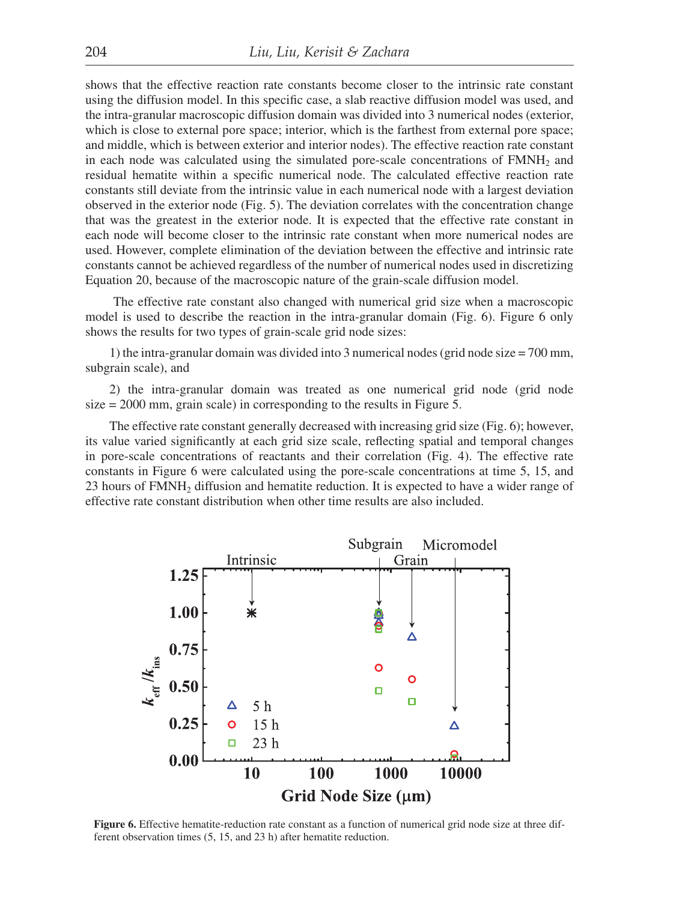shows that the effective reaction rate constants become closer to the intrinsic rate constant using the diffusion model. In this specific case, a slab reactive diffusion model was used, and the intra-granular macroscopic diffusion domain was divided into 3 numerical nodes (exterior, which is close to external pore space; interior, which is the farthest from external pore space; and middle, which is between exterior and interior nodes). The effective reaction rate constant in each node was calculated using the simulated pore-scale concentrations of  $FMMH<sub>2</sub>$  and residual hematite within a specific numerical node. The calculated effective reaction rate constants still deviate from the intrinsic value in each numerical node with a largest deviation observed in the exterior node (Fig. 5). The deviation correlates with the concentration change that was the greatest in the exterior node. It is expected that the effective rate constant in each node will become closer to the intrinsic rate constant when more numerical nodes are used. However, complete elimination of the deviation between the effective and intrinsic rate constants cannot be achieved regardless of the number of numerical nodes used in discretizing Equation 20, because of the macroscopic nature of the grain-scale diffusion model.

 The effective rate constant also changed with numerical grid size when a macroscopic model is used to describe the reaction in the intra-granular domain (Fig. 6). Figure 6 only shows the results for two types of grain-scale grid node sizes:

1) the intra-granular domain was divided into 3 numerical nodes (grid node size = 700 mm, subgrain scale), and

2) the intra-granular domain was treated as one numerical grid node (grid node size = 2000 mm, grain scale) in corresponding to the results in Figure 5.

The effective rate constant generally decreased with increasing grid size (Fig. 6); however, its value varied significantly at each grid size scale, reflecting spatial and temporal changes in pore-scale concentrations of reactants and their correlation (Fig. 4). The effective rate constants in Figure 6 were calculated using the pore-scale concentrations at time 5, 15, and 23 hours of FMNH2 diffusion and hematite reduction. It is expected to have a wider range of effective rate constant distribution when other time results are also included.



Figure 6. Effective hematite-reduction rate constant as a function of numerical grid node size at three different observation times (5, 15, and 23 h) after hematite reduction.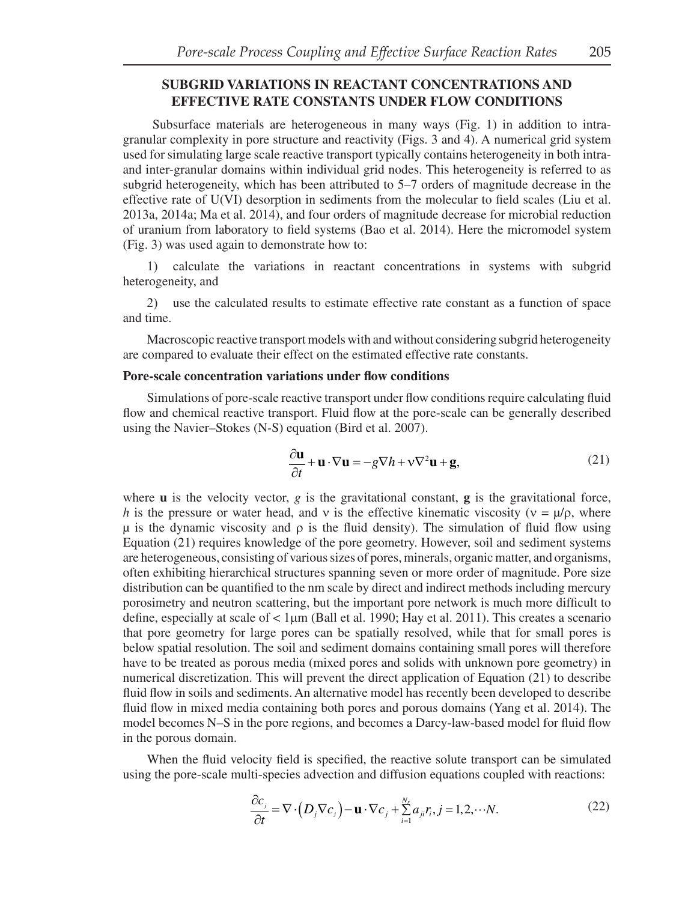# **SUBGRID VARIATIONS IN REACTANT CONCENTRATIONS AND EFFECTIVE RATE CONSTANTS UNDER FLOW CONDITIONS**

 Subsurface materials are heterogeneous in many ways (Fig. 1) in addition to intragranular complexity in pore structure and reactivity (Figs. 3 and 4). A numerical grid system used for simulating large scale reactive transport typically contains heterogeneity in both intraand inter-granular domains within individual grid nodes. This heterogeneity is referred to as subgrid heterogeneity, which has been attributed to 5–7 orders of magnitude decrease in the effective rate of  $U(VI)$  desorption in sediments from the molecular to field scales (Liu et al. 2013a, 2014a; Ma et al. 2014), and four orders of magnitude decrease for microbial reduction of uranium from laboratory to field systems (Bao et al. 2014). Here the micromodel system (Fig. 3) was used again to demonstrate how to:

1) calculate the variations in reactant concentrations in systems with subgrid heterogeneity, and

2) use the calculated results to estimate effective rate constant as a function of space and time.

Macroscopic reactive transport models with and without considering subgrid heterogeneity are compared to evaluate their effect on the estimated effective rate constants.

### Pore-scale concentration variations under flow conditions

Simulations of pore-scale reactive transport under flow conditions require calculating fluid flow and chemical reactive transport. Fluid flow at the pore-scale can be generally described using the Navier–Stokes (N-S) equation (Bird et al. 2007).

$$
\frac{\partial \mathbf{u}}{\partial t} + \mathbf{u} \cdot \nabla \mathbf{u} = -g \nabla h + v \nabla^2 \mathbf{u} + \mathbf{g},\tag{21}
$$

where **u** is the velocity vector,  $g$  is the gravitational constant, **g** is the gravitational force, *h* is the pressure or water head, and v is the effective kinematic viscosity ( $v = \mu/\rho$ , where μ is the dynamic viscosity and  $\rho$  is the fluid density). The simulation of fluid flow using Equation (21) requires knowledge of the pore geometry. However, soil and sediment systems are heterogeneous, consisting of various sizes of pores, minerals, organic matter, and organisms, often exhibiting hierarchical structures spanning seven or more order of magnitude. Pore size distribution can be quantified to the nm scale by direct and indirect methods including mercury porosimetry and neutron scattering, but the important pore network is much more difficult to define, especially at scale of  $\lt 1\,\mu\text{m}$  (Ball et al. 1990; Hay et al. 2011). This creates a scenario that pore geometry for large pores can be spatially resolved, while that for small pores is below spatial resolution. The soil and sediment domains containing small pores will therefore have to be treated as porous media (mixed pores and solids with unknown pore geometry) in numerical discretization. This will prevent the direct application of Equation (21) to describe fluid flow in soils and sediments. An alternative model has recently been developed to describe fluid flow in mixed media containing both pores and porous domains (Yang et al. 2014). The model becomes N–S in the pore regions, and becomes a Darcy-law-based model for fluid flow in the porous domain.

When the fluid velocity field is specified, the reactive solute transport can be simulated using the pore-scale multi-species advection and diffusion equations coupled with reactions:

$$
\frac{\partial c_j}{\partial t} = \nabla \cdot (D_j \nabla c_j) - \mathbf{u} \cdot \nabla c_j + \sum_{i=1}^{N_r} a_{ji} r_i, j = 1, 2, \cdots N. \tag{22}
$$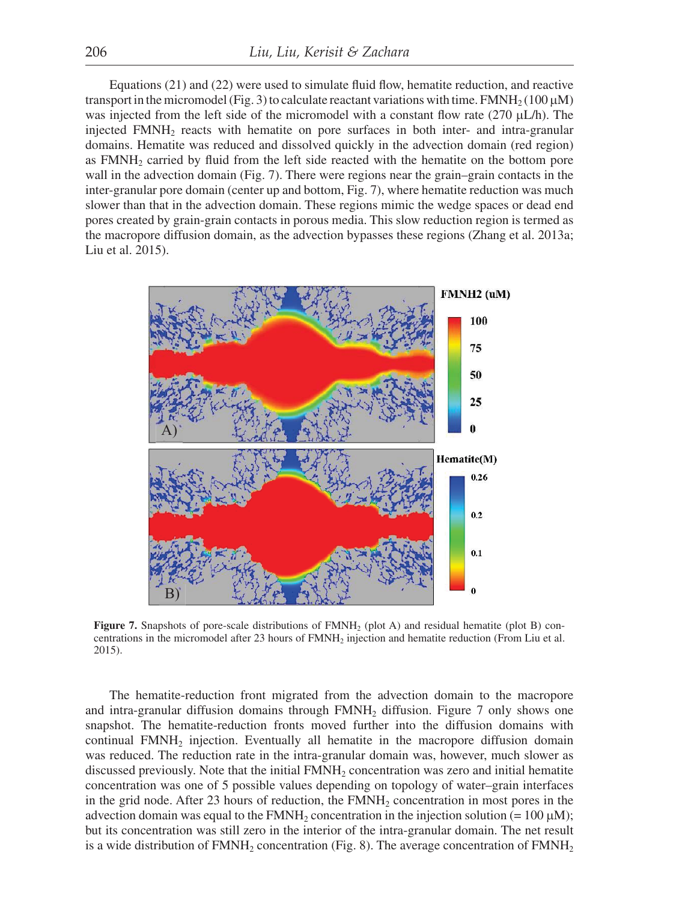Equations  $(21)$  and  $(22)$  were used to simulate fluid flow, hematite reduction, and reactive transport in the micromodel (Fig. 3) to calculate reactant variations with time. FMNH<sub>2</sub> (100  $\mu$ M) was injected from the left side of the micromodel with a constant flow rate  $(270 \mu L/h)$ . The injected FMNH2 reacts with hematite on pore surfaces in both inter- and intra-granular domains. Hematite was reduced and dissolved quickly in the advection domain (red region) as  $FMMH<sub>2</sub>$  carried by fluid from the left side reacted with the hematite on the bottom pore wall in the advection domain (Fig. 7). There were regions near the grain–grain contacts in the inter-granular pore domain (center up and bottom, Fig. 7), where hematite reduction was much slower than that in the advection domain. These regions mimic the wedge spaces or dead end pores created by grain-grain contacts in porous media. This slow reduction region is termed as the macropore diffusion domain, as the advection bypasses these regions (Zhang et al. 2013a; Liu et al. 2015).



**Figure 7.** Snapshots of pore-scale distributions of FMNH<sub>2</sub> (plot A) and residual hematite (plot B) concentrations in the micromodel after 23 hours of FMNH<sub>2</sub> injection and hematite reduction (From Liu et al. 2015).

The hematite-reduction front migrated from the advection domain to the macropore and intra-granular diffusion domains through FMNH2 diffusion. Figure 7 only shows one snapshot. The hematite-reduction fronts moved further into the diffusion domains with continual  $FMMH<sub>2</sub>$  injection. Eventually all hematite in the macropore diffusion domain was reduced. The reduction rate in the intra-granular domain was, however, much slower as discussed previously. Note that the initial  $FMMH<sub>2</sub>$  concentration was zero and initial hematite concentration was one of 5 possible values depending on topology of water–grain interfaces in the grid node. After 23 hours of reduction, the  $FMNH<sub>2</sub>$  concentration in most pores in the advection domain was equal to the FMNH<sub>2</sub> concentration in the injection solution (=  $100 \mu$ M); but its concentration was still zero in the interior of the intra-granular domain. The net result is a wide distribution of  $FMMH_2$  concentration (Fig. 8). The average concentration of  $FMMH_2$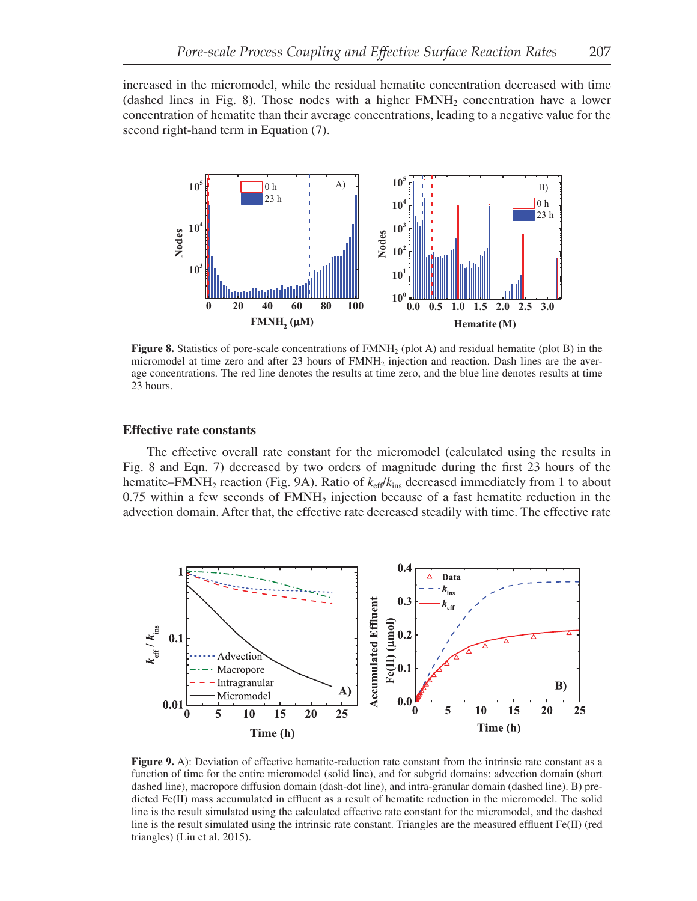increased in the micromodel, while the residual hematite concentration decreased with time (dashed lines in Fig. 8). Those nodes with a higher  $FMMH<sub>2</sub>$  concentration have a lower concentration of hematite than their average concentrations, leading to a negative value for the second right-hand term in Equation (7).



**Figure 8.** Statistics of pore-scale concentrations of FMNH<sub>2</sub> (plot A) and residual hematite (plot B) in the micromodel at time zero and after 23 hours of FMNH<sub>2</sub> injection and reaction. Dash lines are the average concentrations. The red line denotes the results at time zero, and the blue line denotes results at time 23 hours.

### **Effective rate constants**

The effective overall rate constant for the micromodel (calculated using the results in Fig. 8 and Eqn. 7) decreased by two orders of magnitude during the first 23 hours of the hematite–FMNH<sub>2</sub> reaction (Fig. 9A). Ratio of  $k_{\text{eff}}/k_{\text{ins}}$  decreased immediately from 1 to about  $0.75$  within a few seconds of FMNH<sub>2</sub> injection because of a fast hematite reduction in the advection domain. After that, the effective rate decreased steadily with time. The effective rate



**Figure 9.** A): Deviation of effective hematite-reduction rate constant from the intrinsic rate constant as a function of time for the entire micromodel (solid line), and for subgrid domains: advection domain (short dashed line), macropore diffusion domain (dash-dot line), and intra-granular domain (dashed line). B) predicted Fe(II) mass accumulated in effluent as a result of hematite reduction in the micromodel. The solid line is the result simulated using the calculated effective rate constant for the micromodel, and the dashed line is the result simulated using the intrinsic rate constant. Triangles are the measured effluent  $Fe(II)$  (red triangles) (Liu et al. 2015).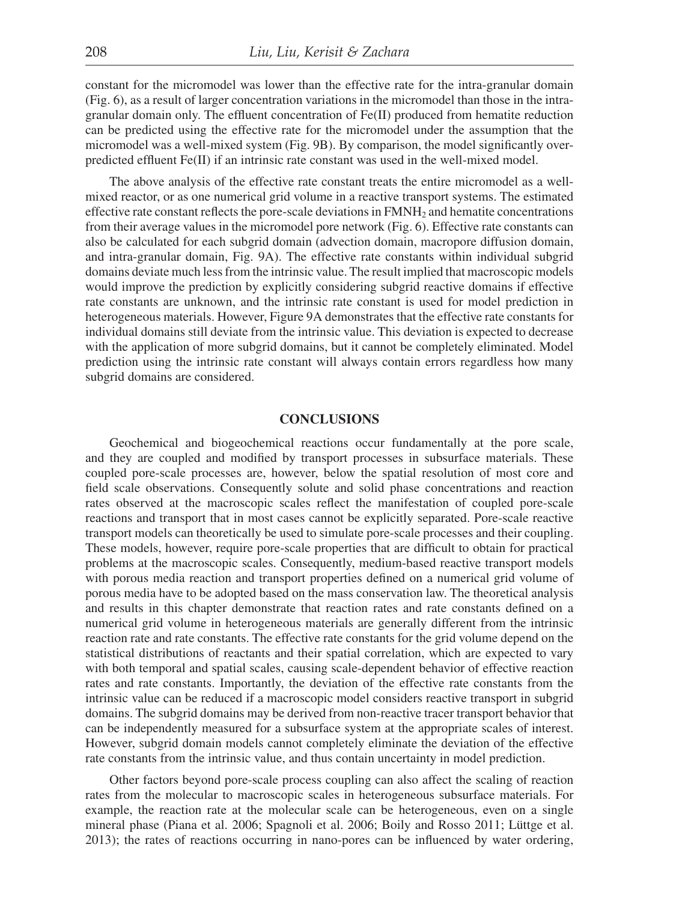constant for the micromodel was lower than the effective rate for the intra-granular domain (Fig. 6), as a result of larger concentration variations in the micromodel than those in the intragranular domain only. The effluent concentration of  $Fe(II)$  produced from hematite reduction can be predicted using the effective rate for the micromodel under the assumption that the micromodel was a well-mixed system (Fig. 9B). By comparison, the model significantly overpredicted effluent  $Fe(II)$  if an intrinsic rate constant was used in the well-mixed model.

The above analysis of the effective rate constant treats the entire micromodel as a wellmixed reactor, or as one numerical grid volume in a reactive transport systems. The estimated effective rate constant reflects the pore-scale deviations in  $FMMH<sub>2</sub>$  and hematite concentrations from their average values in the micromodel pore network (Fig. 6). Effective rate constants can also be calculated for each subgrid domain (advection domain, macropore diffusion domain, and intra-granular domain, Fig. 9A). The effective rate constants within individual subgrid domains deviate much less from the intrinsic value. The result implied that macroscopic models would improve the prediction by explicitly considering subgrid reactive domains if effective rate constants are unknown, and the intrinsic rate constant is used for model prediction in heterogeneous materials. However, Figure 9A demonstrates that the effective rate constants for individual domains still deviate from the intrinsic value. This deviation is expected to decrease with the application of more subgrid domains, but it cannot be completely eliminated. Model prediction using the intrinsic rate constant will always contain errors regardless how many subgrid domains are considered.

### **CONCLUSIONS**

Geochemical and biogeochemical reactions occur fundamentally at the pore scale, and they are coupled and modified by transport processes in subsurface materials. These coupled pore-scale processes are, however, below the spatial resolution of most core and field scale observations. Consequently solute and solid phase concentrations and reaction rates observed at the macroscopic scales reflect the manifestation of coupled pore-scale reactions and transport that in most cases cannot be explicitly separated. Pore-scale reactive transport models can theoretically be used to simulate pore-scale processes and their coupling. These models, however, require pore-scale properties that are difficult to obtain for practical problems at the macroscopic scales. Consequently, medium-based reactive transport models with porous media reaction and transport properties defined on a numerical grid volume of porous media have to be adopted based on the mass conservation law. The theoretical analysis and results in this chapter demonstrate that reaction rates and rate constants defined on a numerical grid volume in heterogeneous materials are generally different from the intrinsic reaction rate and rate constants. The effective rate constants for the grid volume depend on the statistical distributions of reactants and their spatial correlation, which are expected to vary with both temporal and spatial scales, causing scale-dependent behavior of effective reaction rates and rate constants. Importantly, the deviation of the effective rate constants from the intrinsic value can be reduced if a macroscopic model considers reactive transport in subgrid domains. The subgrid domains may be derived from non-reactive tracer transport behavior that can be independently measured for a subsurface system at the appropriate scales of interest. However, subgrid domain models cannot completely eliminate the deviation of the effective rate constants from the intrinsic value, and thus contain uncertainty in model prediction.

Other factors beyond pore-scale process coupling can also affect the scaling of reaction rates from the molecular to macroscopic scales in heterogeneous subsurface materials. For example, the reaction rate at the molecular scale can be heterogeneous, even on a single mineral phase (Piana et al. 2006; Spagnoli et al. 2006; Boily and Rosso 2011; Lüttge et al.  $2013$ ; the rates of reactions occurring in nano-pores can be influenced by water ordering,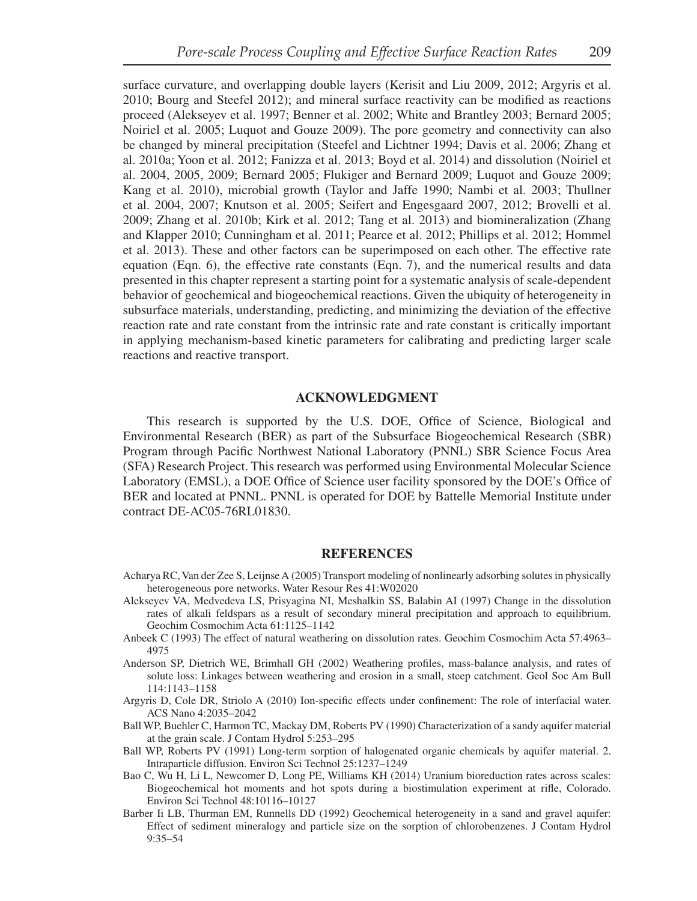surface curvature, and overlapping double layers (Kerisit and Liu 2009, 2012; Argyris et al. 2010; Bourg and Steefel 2012); and mineral surface reactivity can be modified as reactions proceed (Alekseyev et al. 1997; Benner et al. 2002; White and Brantley 2003; Bernard 2005; Noiriel et al. 2005; Luquot and Gouze 2009). The pore geometry and connectivity can also be changed by mineral precipitation (Steefel and Lichtner 1994; Davis et al. 2006; Zhang et al. 2010a; Yoon et al. 2012; Fanizza et al. 2013; Boyd et al. 2014) and dissolution (Noiriel et al. 2004, 2005, 2009; Bernard 2005; Flukiger and Bernard 2009; Luquot and Gouze 2009; Kang et al. 2010), microbial growth (Taylor and Jaffe 1990; Nambi et al. 2003; Thullner et al. 2004, 2007; Knutson et al. 2005; Seifert and Engesgaard 2007, 2012; Brovelli et al. 2009; Zhang et al. 2010b; Kirk et al. 2012; Tang et al. 2013) and biomineralization (Zhang and Klapper 2010; Cunningham et al. 2011; Pearce et al. 2012; Phillips et al. 2012; Hommel et al. 2013). These and other factors can be superimposed on each other. The effective rate equation (Eqn. 6), the effective rate constants (Eqn. 7), and the numerical results and data presented in this chapter represent a starting point for a systematic analysis of scale-dependent behavior of geochemical and biogeochemical reactions. Given the ubiquity of heterogeneity in subsurface materials, understanding, predicting, and minimizing the deviation of the effective reaction rate and rate constant from the intrinsic rate and rate constant is critically important in applying mechanism-based kinetic parameters for calibrating and predicting larger scale reactions and reactive transport.

### **ACKNOWLEDGMENT**

This research is supported by the U.S. DOE, Office of Science, Biological and Environmental Research (BER) as part of the Subsurface Biogeochemical Research (SBR) Program through Pacific Northwest National Laboratory (PNNL) SBR Science Focus Area (SFA) Research Project. This research was performed using Environmental Molecular Science Laboratory (EMSL), a DOE Office of Science user facility sponsored by the DOE's Office of BER and located at PNNL. PNNL is operated for DOE by Battelle Memorial Institute under contract DE-AC05-76RL01830.

#### **REFERENCES**

- Acharya RC, Van der Zee S, Leijnse A (2005) Transport modeling of nonlinearly adsorbing solutes in physically heterogeneous pore networks. Water Resour Res 41:W02020
- Alekseyev VA, Medvedeva LS, Prisyagina NI, Meshalkin SS, Balabin AI (1997) Change in the dissolution rates of alkali feldspars as a result of secondary mineral precipitation and approach to equilibrium. Geochim Cosmochim Acta 61:1125–1142
- Anbeek C (1993) The effect of natural weathering on dissolution rates. Geochim Cosmochim Acta 57:4963– 4975
- Anderson SP, Dietrich WE, Brimhall GH (2002) Weathering profiles, mass-balance analysis, and rates of solute loss: Linkages between weathering and erosion in a small, steep catchment. Geol Soc Am Bull 114:1143–1158
- Argyris D, Cole DR, Striolo A (2010) Ion-specific effects under confinement: The role of interfacial water. ACS Nano 4:2035–2042
- Ball WP, Buehler C, Harmon TC, Mackay DM, Roberts PV (1990) Characterization of a sandy aquifer material at the grain scale. J Contam Hydrol 5:253–295
- Ball WP, Roberts PV (1991) Long-term sorption of halogenated organic chemicals by aquifer material. 2. Intraparticle diffusion. Environ Sci Technol 25:1237–1249
- Bao C, Wu H, Li L, Newcomer D, Long PE, Williams KH (2014) Uranium bioreduction rates across scales: Biogeochemical hot moments and hot spots during a biostimulation experiment at rifle, Colorado. Environ Sci Technol 48:10116–10127
- Barber Ii LB, Thurman EM, Runnells DD (1992) Geochemical heterogeneity in a sand and gravel aquifer: Effect of sediment mineralogy and particle size on the sorption of chlorobenzenes. J Contam Hydrol 9:35–54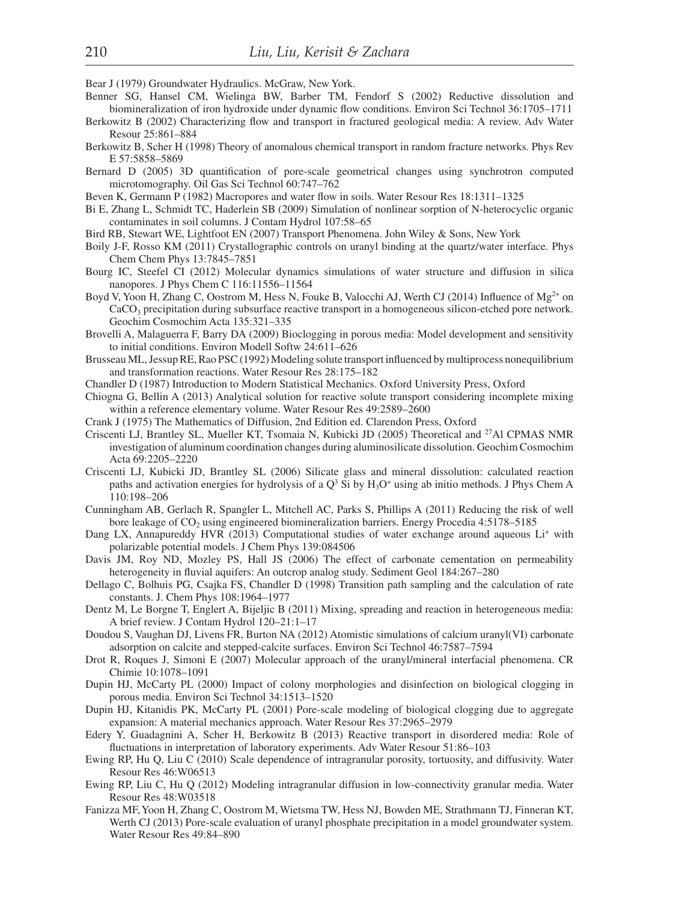Bear J (1979) Groundwater Hydraulics. McGraw, New York.

- Benner SG, Hansel CM, Wielinga BW, Barber TM, Fendorf S (2002) Reductive dissolution and biomineralization of iron hydroxide under dynamic flow conditions. Environ Sci Technol 36:1705–1711
- Berkowitz B (2002) Characterizing flow and transport in fractured geological media: A review. Adv Water Resour 25:861–884
- Berkowitz B, Scher H (1998) Theory of anomalous chemical transport in random fracture networks. Phys Rev E 57:5858–5869
- Bernard D (2005) 3D quantification of pore-scale geometrical changes using synchrotron computed microtomography. Oil Gas Sci Technol 60:747–762
- Beven K, Germann P (1982) Macropores and water flow in soils. Water Resour Res 18:1311-1325
- Bi E, Zhang L, Schmidt TC, Haderlein SB (2009) Simulation of nonlinear sorption of N-heterocyclic organic contaminates in soil columns. J Contam Hydrol 107:58–65
- Bird RB, Stewart WE, Lightfoot EN (2007) Transport Phenomena. John Wiley & Sons, New York
- Boily J-F, Rosso KM (2011) Crystallographic controls on uranyl binding at the quartz/water interface. Phys Chem Chem Phys 13:7845–7851
- Bourg IC, Steefel CI (2012) Molecular dynamics simulations of water structure and diffusion in silica nanopores. J Phys Chem C 116:11556–11564
- Boyd V, Yoon H, Zhang C, Oostrom M, Hess N, Fouke B, Valocchi AJ, Werth CJ (2014) Influence of  $Mg^{2+}$  on  $CaCO<sub>3</sub>$  precipitation during subsurface reactive transport in a homogeneous silicon-etched pore network. Geochim Cosmochim Acta 135:321–335
- Brovelli A, Malaguerra F, Barry DA (2009) Bioclogging in porous media: Model development and sensitivity to initial conditions. Environ Modell Softw 24:611–626
- Brusseau ML, Jessup RE, Rao PSC (1992) Modeling solute transport influenced by multiprocess nonequilibrium and transformation reactions. Water Resour Res 28:175–182
- Chandler D (1987) Introduction to Modern Statistical Mechanics. Oxford University Press, Oxford
- Chiogna G, BellinA (2013) Analytical solution for reactive solute transport considering incomplete mixing within a reference elementary volume. Water Resour Res 49:2589–2600
- Crank J (1975) The Mathematics of Diffusion, 2nd Edition ed. Clarendon Press, Oxford
- Criscenti LJ, Brantley SL, Mueller KT, Tsomaia N, Kubicki JD (2005) Theoretical and <sup>27</sup>Al CPMAS NMR investigation of aluminum coordination changes during aluminosilicate dissolution. Geochim Cosmochim Acta 69:2205–2220
- Criscenti LJ, Kubicki JD, Brantley SL (2006) Silicate glass and mineral dissolution: calculated reaction paths and activation energies for hydrolysis of a  $Q^3$  Si by  $H_3O^+$  using ab initio methods. J Phys Chem A 110:198–206
- Cunningham AB, Gerlach R, Spangler L, Mitchell AC, Parks S, Phillips A (2011) Reducing the risk of well bore leakage of  $CO<sub>2</sub>$  using engineered biomineralization barriers. Energy Procedia 4:5178–5185
- Dang LX, Annapureddy HVR (2013) Computational studies of water exchange around aqueous Li<sup>+</sup> with polarizable potential models. J Chem Phys 139:084506
- Davis JM, Roy ND, Mozley PS, Hall JS (2006) The effect of carbonate cementation on permeability heterogeneity in fluvial aquifers: An outcrop analog study. Sediment Geol 184:267-280
- Dellago C, Bolhuis PG, Csajka FS, Chandler D (1998) Transition path sampling and the calculation of rate constants. J. Chem Phys 108:1964–1977
- Dentz M, Le Borgne T, Englert A, Bijeljic B (2011) Mixing, spreading and reaction in heterogeneous media: A brief review. J Contam Hydrol 120–21:1–17
- Doudou S, Vaughan DJ, Livens FR, Burton NA (2012) Atomistic simulations of calcium uranyl(VI) carbonate adsorption on calcite and stepped-calcite surfaces. Environ Sci Technol 46:7587–7594
- Drot R, Roques J, Simoni E (2007) Molecular approach of the uranyl/mineral interfacial phenomena. CR Chimie 10:1078–1091
- Dupin HJ, McCarty PL (2000) Impact of colony morphologies and disinfection on biological clogging in porous media. Environ Sci Technol 34:1513–1520
- Dupin HJ, Kitanidis PK, McCarty PL (2001) Pore-scale modeling of biological clogging due to aggregate expansion: A material mechanics approach. Water Resour Res 37:2965–2979
- Edery Y, Guadagnini A, Scher H, Berkowitz B (2013) Reactive transport in disordered media: Role of fluctuations in interpretation of laboratory experiments. Adv Water Resour 51:86–103
- Ewing RP, Hu Q, Liu C (2010) Scale dependence of intragranular porosity, tortuosity, and diffusivity. Water Resour Res 46:W06513
- Ewing RP, Liu C, Hu Q (2012) Modeling intragranular diffusion in low-connectivity granular media. Water Resour Res 48:W03518
- Fanizza MF, Yoon H, Zhang C, Oostrom M, Wietsma TW, Hess NJ, Bowden ME, Strathmann TJ, Finneran KT, Werth CJ (2013) Pore-scale evaluation of uranyl phosphate precipitation in a model groundwater system. Water Resour Res 49:84–890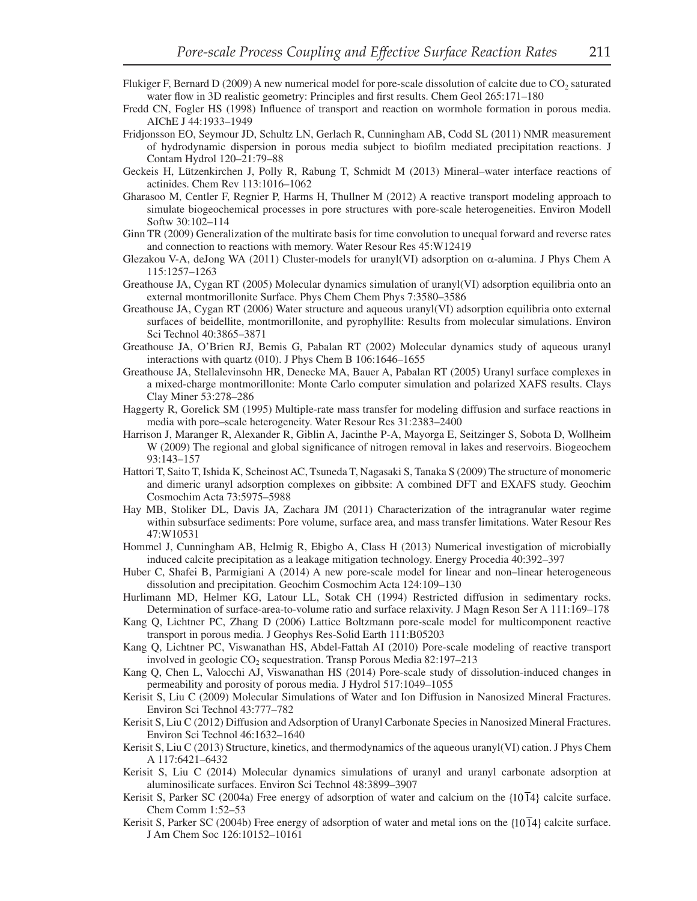- Flukiger F, Bernard D (2009) A new numerical model for pore-scale dissolution of calcite due to  $CO<sub>2</sub>$  saturated water flow in 3D realistic geometry: Principles and first results. Chem Geol 265:171–180
- Fredd CN, Fogler HS (1998) Influence of transport and reaction on wormhole formation in porous media. AIChE J 44:1933–1949
- Fridjonsson EO, Seymour JD, Schultz LN, Gerlach R, Cunningham AB, Codd SL (2011) NMR measurement of hydrodynamic dispersion in porous media subject to biofilm mediated precipitation reactions. J Contam Hydrol 120–21:79–88
- Geckeis H, Lützenkirchen J, Polly R, Rabung T, Schmidt M (2013) Mineral-water interface reactions of actinides. Chem Rev 113:1016–1062
- Gharasoo M, Centler F, Regnier P, Harms H, Thullner M (2012) A reactive transport modeling approach to simulate biogeochemical processes in pore structures with pore-scale heterogeneities. Environ Modell Softw 30:102–114
- Ginn TR (2009) Generalization of the multirate basis for time convolution to unequal forward and reverse rates and connection to reactions with memory. Water Resour Res 45:W12419
- Glezakou V-A, deJong WA (2011) Cluster-models for uranyl(VI) adsorption on  $\alpha$ -alumina. J Phys Chem A 115:1257–1263
- Greathouse JA, Cygan RT (2005) Molecular dynamics simulation of uranyl(VI) adsorption equilibria onto an external montmorillonite Surface. Phys Chem Chem Phys 7:3580–3586
- Greathouse JA, Cygan RT (2006) Water structure and aqueous uranyl(VI) adsorption equilibria onto external surfaces of beidellite, montmorillonite, and pyrophyllite: Results from molecular simulations. Environ Sci Technol 40:3865–3871
- Greathouse JA, O' Brien RJ, Bemis G, Pabalan RT (2002) Molecular dynamics study of aqueous uranyl interactions with quartz (010). J Phys Chem B 106:1646–1655
- Greathouse JA, Stellalevinsohn HR, Denecke MA, Bauer A, Pabalan RT (2005) Uranyl surface complexes in a mixed-charge montmorillonite: Monte Carlo computer simulation and polarized XAFS results. Clays Clay Miner 53:278–286
- Haggerty R, Gorelick SM (1995) Multiple-rate mass transfer for modeling diffusion and surface reactions in media with pore–scale heterogeneity. Water Resour Res 31:2383–2400
- Harrison J, Maranger R, Alexander R, Giblin A, Jacinthe P-A, Mayorga E, Seitzinger S, Sobota D, Wollheim W (2009) The regional and global significance of nitrogen removal in lakes and reservoirs. Biogeochem 93:143–157
- Hattori T, Saito T, Ishida K, Scheinost AC, Tsuneda T, Nagasaki S, Tanaka S (2009) The structure of monomeric and dimeric uranyl adsorption complexes on gibbsite: A combined DFT and EXAFS study. Geochim Cosmochim Acta 73:5975–5988
- Hay MB, Stoliker DL, Davis JA, Zachara JM (2011) Characterization of the intragranular water regime within subsurface sediments: Pore volume, surface area, and mass transfer limitations. Water Resour Res 47:W10531
- Hommel J, Cunning ham AB, Helmig R, Ebigbo A, Class H (2013) Numerical investigation of microbially induced calcite precipitation as a leakage mitigation technology. Energy Procedia 40:392–397
- Huber C, Shafei B, Parmigiani A (2014) A new pore-scale model for linear and non–linear heterogeneous dissolution and precipitation. Geochim Cosmochim Acta 124:109–130
- Hurlimann MD, Helmer KG, Latour LL, Sotak CH (1994) Restricted diffusion in sedimentary rocks. Determination of surface-area-to-volume ratio and surface relaxivity. J Magn Reson Ser A 111:169–178
- Kang Q, Lichtner PC, Zhang D (2006) Lattice Boltzmann pore-scale model for multicomponent reactive transport in porous media. J Geophys Res-Solid Earth 111:B05203
- Kang Q, Lichtner PC, Viswanathan HS, Abdel-Fattah AI (2010) Pore-scale modeling of reactive transport involved in geologic  $CO_2$  sequestration. Transp Porous Media 82:197–213
- Kang Q, Chen L, Valocchi AJ, Viswanathan HS (2014) Pore-scale study of dissolution-induced changes in permeability and porosity of porous media. J Hydrol 517:1049–1055
- Kerisit S, Liu C (2009) Molecular Simulations of Water and Ion Diffusion in Nanosized Mineral Fractures. Environ Sci Technol 43:777–782
- Kerisit S, Liu C (2012) Diffusion and Adsorption of Uranyl Carbonate Species in Nanosized Mineral Fractures. Environ Sci Technol 46:1632–1640
- Kerisit S, Liu C (2013) Structure, kinetics, and thermodynamics of the aqueous uranyl(VI) cation. J Phys Chem A 117:6421–6432
- Kerisit S, Liu C (2014) Molecular dynamics simulations of uranyl and uranyl carbonate adsorption at aluminosilicate surfaces. Environ Sci Technol 48:3899–3907
- Kerisit S, Parker SC (2004a) Free energy of adsorption of water and calcium on the {1014} calcite surface. Chem Comm 1:52–53
- Kerisit S, Parker SC (2004b) Free energy of adsorption of water and metal ions on the  $\{10\bar{1}4\}$  calcite surface. J Am Chem Soc 126:10152–10161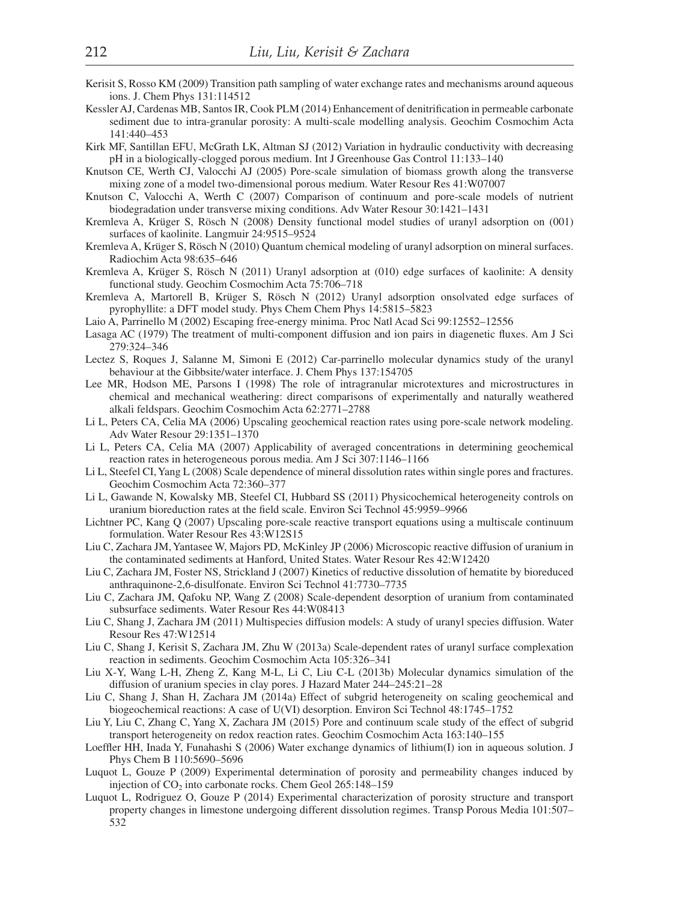- Kerisit S, Rosso KM (2009) Transition path sampling of water exchange rates and mechanisms around aqueous ions. J. Chem Phys 131:114512
- Kessler AJ, Cardenas MB, Santos IR, Cook PLM (2014) Enhancement of denitrification in permeable carbonate sediment due to intra-granular porosity: A multi-scale modelling analysis. Geochim Cosmochim Acta 141:440–453
- Kirk MF, Santillan EFU, McGrath LK, Altman SJ (2012) Variation in hydraulic conductivity with decreasing pH in a biologically-clogged porous medium. Int J Greenhouse Gas Control 11:133–140
- Knutson CE, Werth CJ, Valocchi AJ (2005) Pore-scale simulation of biomass growth along the transverse mixing zone of a model two-dimensional porous medium. Water Resour Res 41:W07007
- Knutson C, Valocchi A, Werth C (2007) Comparison of continuum and pore-scale models of nutrient biodegradation under transverse mixing conditions. Adv Water Resour 30:1421–1431
- Kremleva A, Krüger S, Rösch N (2008) Density functional model studies of uranyl adsorption on (001) surfaces of kaolinite. Langmuir 24:9515–9524
- Kremleva A, Krüger S, Rösch N (2010) Quantum chemical modeling of uranyl adsorption on mineral surfaces. Radiochim Acta 98:635–646
- Kremleva A, Krüger S, Rösch N (2011) Uranyl adsorption at (010) edge surfaces of kaolinite: A density functional study. Geochim Cosmochim Acta 75:706–718
- Kremleva A, Martorell B, Krüger S, Rösch N (2012) Uranyl adsorption onsolvated edge surfaces of pyrophyllite: a DFT model study. Phys Chem Chem Phys 14:5815–5823
- Laio A, Parrinello M (2002) Escaping free-energy minima. Proc Natl Acad Sci 99:12552–12556
- Lasaga AC (1979) The treatment of multi-component diffusion and ion pairs in diagenetic fluxes. Am J Sci 279:324–346
- Lectez S, Roques J, Salanne M, Simoni E (2012) Car-parrinello molecular dynamics study of the uranyl behaviour at the Gibbsite/water interface. J. Chem Phys 137:154705
- Lee MR, Hodson ME, Parsons I (1998) The role of intragranular microtextures and microstructures in chemical and mechanical weathering: direct comparisons of experimentally and naturally weathered alkali feldspars. Geochim Cosmochim Acta 62:2771–2788
- Li L, Peters CA, Celia MA (2006) Upscaling geochemical reaction rates using pore-scale network modeling. Adv Water Resour 29:1351–1370
- Li L, Peters CA, Celia MA (2007) Applicability of averaged concentrations in determining geochemical reaction rates in heterogeneous porous media. Am J Sci 307:1146–1166
- Li L, Steefel CI, Yang L (2008) Scale dependence of mineral dissolution rates within single pores and fractures. Geochim Cosmochim Acta 72:360–377
- Li L, Gawande N, Kowalsky MB, Steefel CI, Hubbard SS (2011) Physicochemical heterogeneity controls on uranium bioreduction rates at the field scale. Environ Sci Technol 45:9959–9966
- Lichtner PC, Kang Q (2007) Upscaling pore-scale reactive transport equations using a multiscale continuum formulation. Water Resour Res 43:W12S15
- Liu C, Zachara JM , Yantasee W, Majors PD, McKinley JP (2006) Microscopic reactive diffusion of uranium in the contaminated sediments at Hanford, United States. Water Resour Res 42:W12420
- Liu C, Zachara JM, Foster NS, Strickland J (2007) Kinetics of reductive dissolution of hematite by bioreduced anthraquinone-2,6-disulfonate. Environ Sci Technol 41:7730–7735
- Liu C, Zachara JM , Qafoku NP, Wang Z (2008) Scale-dependent desorption of uranium from contaminated subsurface sediments. Water Resour Res 44:W08413
- Liu C, Shang J, Zachara JM (2011) Multispecies diffusion models: A study of uranyl species diffusion. Water Resour Res 47:W12514
- Liu C, Shang J, Kerisit S, Zachara JM, Zhu W (2013a) Scale-dependent rates of uranyl surface complexation reaction in sediments. Geochim Cosmochim Acta 105:326–341
- Liu X-Y, Wang L-H , Zheng Z, Kang M-L, Li C, Liu C-L (2013b) Molecular dynamics simulation of the diffusion of uranium species in clay pores. J Hazard Mater 244–245:21–28
- Liu C, Shang J, Shan H, Zachara JM (2014a) Effect of subgrid heterogeneity on scaling geochemical and biogeochemical reactions: A case of U(VI) desorption. Environ Sci Technol 48:1745–1752
- Liu Y, Liu C, Zhang C, Yang X, Zachara JM (2015) Pore and continuum scale study of the effect of subgrid transport heterogeneity on redox reaction rates. Geochim Cosmochim Acta 163:140–155
- Loeffler HH, Inada Y, Funahashi S (2006) Water exchange dynamics of lithium(I) ion in aqueous solution. J Phys Chem B 110:5690–5696
- Luquot L, Gouze P (2009) Experimental determination of porosity and permeability changes induced by injection of  $CO<sub>2</sub>$  into carbonate rocks. Chem Geol 265:148–159
- Luquot L, Rodriguez O, Gouze P (2014) Experimental characterization of porosity structure and transport property changes in limestone undergoing different dissolution regimes. Transp Porous Media 101:507– 532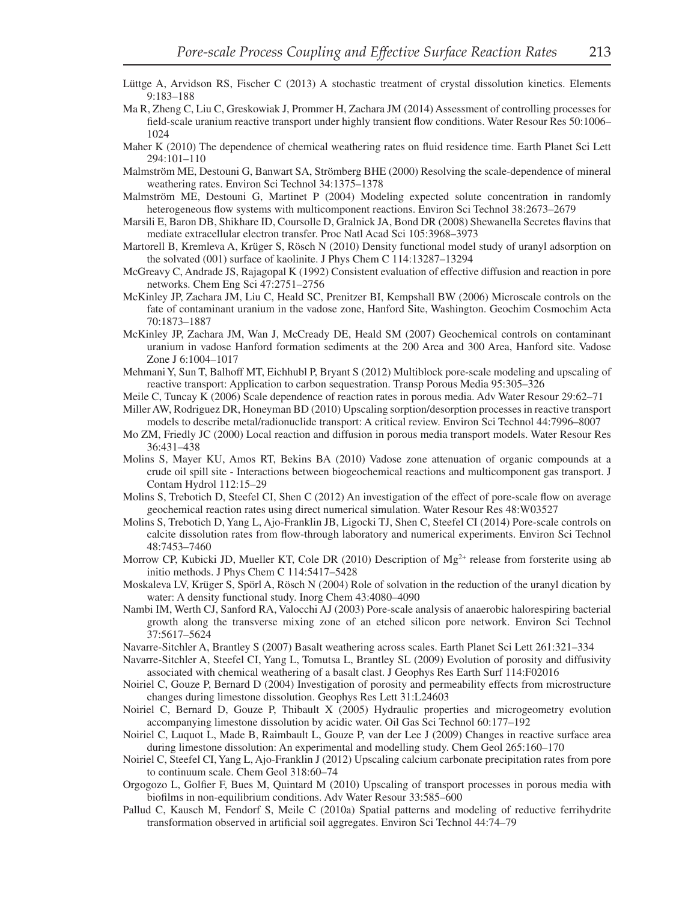- Lüttge A, Arvidson RS, Fischer C (2013) A stochastic treatment of crystal dissolution kinetics. Elements 9:183–188
- Ma R, Zheng C, Liu C, Greskowiak J, Prommer H, Zachara JM (2014) Assessment of controlling processes for field-scale uranium reactive transport under highly transient flow conditions. Water Resour Res 50:1006– 1024
- Maher K (2010) The dependence of chemical weathering rates on fluid residence time. Earth Planet Sci Lett 294:101–110
- Malmström ME, Destouni G, Banwart SA, Strömberg BHE (2000) Resolving the scale-dependence of mineral weathering rates. Environ Sci Technol 34:1375–1378
- Malmström ME, Destouni G, Martinet P (2004) Modeling expected solute concentration in randomly heterogeneous flow systems with multicomponent reactions. Environ Sci Technol 38:2673–2679
- Marsili E, Baron DB, Shikhare ID, Coursolle D, Gralnick JA, Bond DR (2008) Shewanella Secretes flavins that mediate extracellular electron transfer. Proc Natl Acad Sci 105:3968–3973
- Martorell B, Kremleva A, Krüger S, Rösch N (2010) Density functional model study of uranyl adsorption on the solvated (001) surface of kaolinite. J Phys Chem C 114:13287–13294
- McGreavy C, Andrade JS, Rajagopal K (1992) Consistent evaluation of effective diffusion and reaction in pore networks. Chem Eng Sci 47:2751–2756
- McKinley JP, Zachara JM, Liu C, Heald SC, Prenitzer BI, Kempshall BW (2006) Microscale controls on the fate of contaminant uranium in the vadose zone, Hanford Site, Washington. Geochim Cosmochim Acta 70:1873–1887
- McKinley JP, Zachara JM, Wan J, McCready DE, Heald SM (2007) Geochemical controls on contaminant uranium in vadose Hanford formation sediments at the 200 Area and 300 Area, Hanford site. Vadose Zone J 6:1004–1017
- Mehmani Y, Sun T, Balhoff MT, Eichhubl P, Bryant S (2012) Multiblock pore-scale modeling and upscaling of reactive transport: Application to carbon sequestration. Transp Porous Media 95:305–326
- Meile C, Tuncay K (2006) Scale dependence of reaction rates in porous media. Adv Water Resour 29:62–71
- Miller AW, Rodriguez DR, Honeyman BD (2010) Upscaling sorption/desorption processes in reactive transport models to describe metal/radionuclide transport: A critical review. Environ Sci Technol 44:7996–8007
- Mo ZM, Friedly JC (2000) Local reaction and diffusion in porous media transport models. Water Resour Res 36:431–438
- Molins S, Mayer KU, Amos RT, Bekins BA (2010) Vadose zone attenuation of organic compounds at a crude oil spill site - Interactions between biogeochemical reactions and multicomponent gas transport. J Contam Hydrol 112:15–29
- Molins S, Trebotich D, Steefel CI, Shen C (2012) An investigation of the effect of pore-scale flow on average geochemical reaction rates using direct numerical simulation. Water Resour Res 48:W03527
- Molins S, Trebotich D, Yang L, Ajo-Franklin JB, Ligocki TJ, Shen C, Steefel CI (2014) Pore-scale controls on calcite dissolution rates from flow-through laboratory and numerical experiments. Environ Sci Technol 48:7453–7460
- Morrow CP, Kubicki JD, Mueller KT, Cole DR (2010) Description of  $Mg^{2+}$  release from forsterite using ab initio methods. J Phys Chem C 114:5417–5428
- Moskaleva LV, Krüger S, Spörl A, Rösch N (2004) Role of solvation in the reduction of the uranyl dication by water: A density functional study. Inorg Chem 43:4080–4090
- Nambi IM, Werth CJ, Sanford RA, Valocchi AJ (2003) Pore-scale analysis of anaerobic halorespiring bacterial growth along the transverse mixing zone of an etched silicon pore network. Environ Sci Technol 37:5617–5624
- Navarre-Sitchler A, Brantley S (2007) Basalt weathering across scales. Earth Planet Sci Lett 261:321–334
- Navarre-Sitchler A, Steefel CI, Yang L, Tomutsa L, Brantley SL (2009) Evolution of porosity and diffusivity associated with chemical weathering of a basalt clast. J Geophys Res Earth Surf 114:F02016
- Noiriel C, Gouze P, Bernard D (2004) Investigation of porosity and permeability effects from microstructure changes during limestone dissolution. Geophys Res Lett 31:L24603
- Noiriel C, Bernard D, Gouze P, Thibault X (2005) Hydraulic properties and microgeometry evolution accompanying limestone dissolution by acidic water. Oil Gas Sci Technol 60:177–192
- Noiriel C, Luquot L, Made B, Raimbault L, Gouze P, van der Lee J (2009) Changes in reactive surface area during limestone dissolution: An experimental and modelling study. Chem Geol 265:160–170
- Noiriel C, Steefel CI, Yang L, Ajo-Franklin J (2012) Upscaling calcium carbonate precipitation rates from pore to continuum scale. Chem Geol 318:60–74
- Orgogozo L, Golfier F, Bues M, Quintard M (2010) Upscaling of transport processes in porous media with biofilms in non-equilibrium conditions. Adv Water Resour 33:585–600
- Pallud C, Kausch M, Fendorf S, Meile C (2010a) Spatial patterns and modeling of reductive ferrihydrite transformation observed in artificial soil aggregates. Environ Sci Technol 44:74–79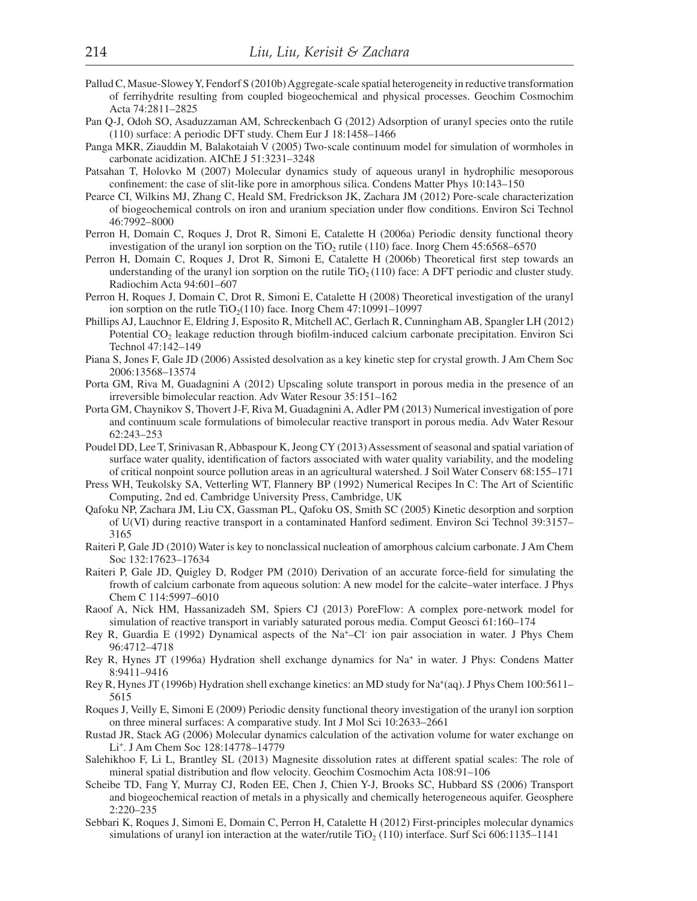- Pallud C, Masue-Slowey Y, Fendorf S (2010b) Aggregate-scale spatial heterogeneity in reductive transformation of ferrihydrite resulting from coupled biogeochemical and physical processes. Geochim Cosmochim Acta 74:2811–2825
- Pan Q-J, Odoh SO, Asaduzzaman AM, Schreckenbach G (2012) Adsorption of uranyl species onto the rutile (110) surface: A periodic DFT study. Chem Eur J 18:1458–1466
- Panga MKR, Ziauddin M, Balakotaiah V (2005) Two-scale continuum model for simulation of wormholes in carbonate acidization. AIChE J 51:3231–3248
- Patsahan T, Holovko M (2007) Molecular dynamics study of aqueous uranyl in hydrophilic mesoporous confinement: the case of slit-like pore in amorphous silica. Condens Matter Phys 10:143–150
- Pearce CI, Wilkins MJ, Zhang C, Heald SM, Fredrickson JK, Zachara JM (2012) Pore-scale characterization of biogeochemical controls on iron and uranium speciation under flow conditions. Environ Sci Technol 46:7992–8000
- Perron H, Domain C, Roques J, Drot R, Simoni E, Catalette H (2006a) Periodic density functional theory investigation of the uranyl ion sorption on the TiO<sub>2</sub> rutile (110) face. Inorg Chem 45:6568–6570
- Perron H, Domain C, Roques J, Drot R, Simoni E, Catalette H (2006b) Theoretical first step towards an understanding of the uranyl ion sorption on the rutile  $TiO<sub>2</sub>(110)$  face: A DFT periodic and cluster study. Radiochim Acta 94:601–607
- Perron H, Roques J, Domain C, Drot R, Simoni E, Catalette H (2008) Theoretical investigation of the uranyl ion sorption on the rutle  $TiO<sub>2</sub>(110)$  face. Inorg Chem 47:10991–10997
- Phillips AJ, Lauchnor E, Eldring J, Esposito R, Mitchell AC, Gerlach R, Cunningham AB, Spangler LH (2012) Potential  $CO<sub>2</sub>$  leakage reduction through biofilm-induced calcium carbonate precipitation. Environ Sci Technol 47:142–149
- Piana S, Jones F, Gale JD (2006) Assisted desolvation as a key kinetic step for crystal growth. J Am Chem Soc 2006:13568–13574
- Porta GM, Riva M, Guadagnini A (2012) Upscaling solute transport in porous media in the presence of an irreversible bimolecular reaction. Adv Water Resour 35:151–162
- Porta GM, Chaynikov S, Thovert J-F, Riva M, Guadagnini A, Adler PM (2013) Numerical investigation of pore and continuum scale formulations of bimolecular reactive transport in porous media. Adv Water Resour 62:243–253
- Poudel DD, Lee T, Srinivasan R, Abbaspour K, Jeong CY (2013) Assessment of seasonal and spatial variation of surface water quality, identification of factors associated with water quality variability, and the modeling of critical nonpoint source pollution areas in an agricultural watershed. J Soil Water Conserv 68:155–171
- Press WH, Teukolsky SA, Vetterling WT, Flannery BP (1992) Numerical Recipes In C: The Art of Scientific Computing, 2nd ed. Cambridge University Press, Cambridge, UK
- Qafoku NP, Zachara JM, Liu CX, Gassman PL, Qafoku OS, Smith SC (2005) Kinetic desorption and sorption of U(VI) during reactive transport in a contaminated Hanford sediment. Environ Sci Technol 39:3157– 3165
- Raiteri P, Gale JD (2010) Water is key to nonclassical nucleation of amorphous calcium carbonate. J Am Chem Soc 132:17623–17634
- Raiteri P, Gale JD, Quigley D, Rodger PM (2010) Derivation of an accurate force-field for simulating the frowth of calcium carbonate from aqueous solution: A new model for the calcite–water interface. J Phys Chem C 114:5997–6010
- Raoof A, Nick HM, Hassanizadeh SM, Spiers CJ (2013) PoreFlow: A complex pore-network model for simulation of reactive transport in variably saturated porous media. Comput Geosci 61:160–174
- Rey R, Guardia E (1992) Dynamical aspects of the Na+–Cl- ion pair association in water. J Phys Chem 96:4712–4718
- Rey R, Hynes JT ( 1996a) Hydration shell exchange dynamics for Na+ in water. J Phys: Condens Matter 8:9411–9416
- Rey R, Hynes JT (1996b) Hydration shell exchange kinetics: an MD study for Na<sup>+</sup>(aq). J Phys Chem 100:5611– 5615
- Roques J, Veilly E, Simoni E (2009) Periodic density functional theory investigation of the uranyl ion sorption on three mineral surfaces: A comparative study. Int J Mol Sci 10:2633–2661
- Rustad JR, Stack AG (2006) Molecular dynamics calculation of the activation volume for water exchange on Li+. J Am Chem Soc 128:14778–14779
- Salehikhoo F, Li L, Brantley SL (2013) Magnesite dissolution rates at different spatial scales: The role of mineral spatial distribution and flow velocity. Geochim Cosmochim Acta 108:91-106
- Scheibe TD, Fang Y, Murray CJ, Roden EE, Chen J, Chien Y-J, Brooks SC, Hubbard SS (2006) Transport and biogeochemical reaction of metals in a physically and chemically heterogeneous aquifer. Geosphere 2:220–235
- Sebbari K, Roques J, Simoni E, Domain C, Perron H, Catalette H (2012) First-principles molecular dynamics simulations of uranyl ion interaction at the water/rutile  $TiO<sub>2</sub> (110)$  interface. Surf Sci 606:1135–1141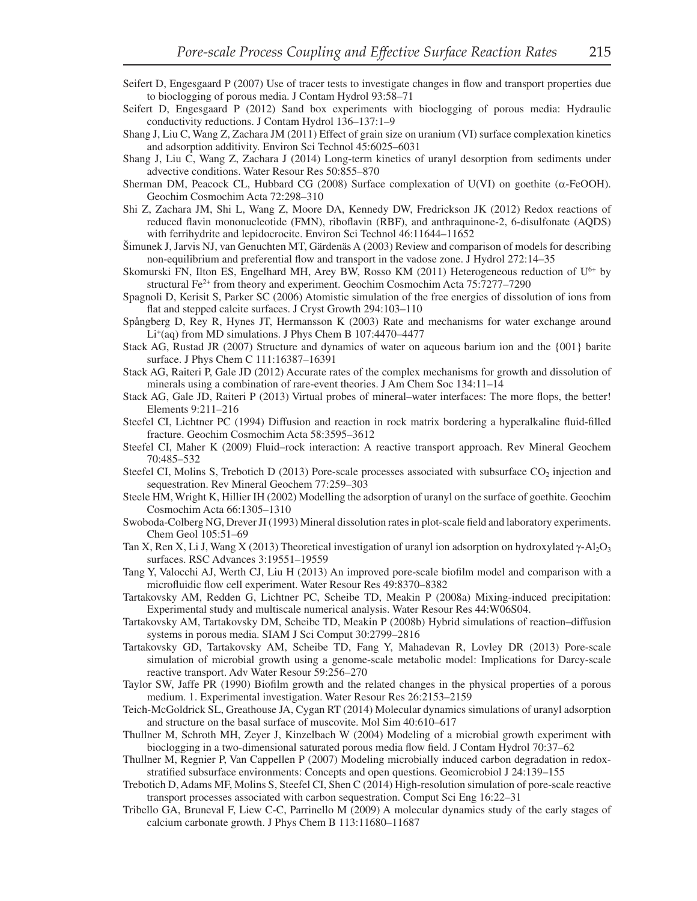- Seifert D, Engesgaard P (2007) Use of tracer tests to investigate changes in flow and transport properties due to bioclogging of porous media. J Contam Hydrol 93:58–71
- Seifert D, Engesgaard P (2012) Sand box experiments with bioclogging of porous media: Hydraulic conductivity reductions. J Contam Hydrol 136–137:1–9
- Shang J, Liu C, Wang Z, Zachara JM (2011) Effect of grain size on uranium (VI) surface complexation kinetics and adsorption additivity. Environ Sci Technol 45:6025–6031
- Shang J, Liu C, Wang Z, Zachara J (2014) Long-term kinetics of uranyl desorption from sediments under advective conditions. Water Resour Res 50:855–870
- Sherman DM, Peacock CL, Hubbard CG (2008) Surface complexation of U(VI) on goethite ( $\alpha$ -FeOOH). Geochim Cosmochim Acta 72:298–310
- Shi Z, Zachara JM, Shi L, Wang Z, Moore DA, Kennedy DW, Fredrickson JK (2012) Redox reactions of reduced flavin mononucleotide (FMN), riboflavin (RBF), and anthraquinone-2, 6-disulfonate (AQDS) with ferrihydrite and lepidocrocite. Environ Sci Technol 46:11644–11652
- Simunek J, Jarvis NJ, van Genuchten MT, Gärdenäs A (2003) Review and comparison of models for describing non-equilibrium and preferential flow and transport in the vadose zone. J Hydrol 272:14-35
- Skomurski FN, Ilton ES, Engelhard MH, Arey BW, Rosso KM (2011) Heterogeneous reduction of  $U^{6+}$  by structural  $Fe<sup>2+</sup>$  from theory and experiment. Geochim Cosmochim Acta 75:7277–7290
- Spagnoli D, Kerisit S, Parker SC (2006) Atomistic simulation of the free energies of dissolution of ions from flat and stepped calcite surfaces. J Cryst Growth  $294:103-110$
- Spångberg D, Rey R, Hynes JT, Hermansson K (2003) Rate and mechanisms for water exchange around Li+(aq) from MD simulations. J Phys Chem B 107:4470–4477
- Stack AG, Rustad JR (2007) Structure and dynamics of water on aqueous barium ion and the {001} barite surface. J Phys Chem C 111:16387–16391
- Stack AG, Raiteri P, Gale JD (2012) Accurate rates of the complex mechanisms for growth and dissolution of minerals using a combination of rare-event theories. J Am Chem Soc 134:11–14
- Stack AG, Gale JD, Raiteri P (2013) Virtual probes of mineral–water interfaces: The more flops, the better! Elements 9:211–216
- Steefel CI, Lichtner PC (1994) Diffusion and reaction in rock matrix bordering a hyperalkaline fluid-filled fracture. Geochim Cosmochim Acta 58:3595–3612
- Steefel CI, Maher K (2009) Fluid–rock interaction: A reactive transport approach. Rev Mineral Geochem 70:485–532
- Steefel CI, Molins S, Trebotich D (2013) Pore-scale processes associated with subsurface  $CO<sub>2</sub>$  injection and sequestration. Rev Mineral Geochem 77:259–303
- Steele HM, Wright K, Hillier IH (2002) Modelling the adsorption of uranyl on the surface of goethite. Geochim Cosmochim Acta 66:1305–1310
- Swoboda-Colberg NG, Drever JI (1993) Mineral dissolution rates in plot-scale field and laboratory experiments. Chem Geol 105:51–69
- Tan X, Ren X, Li J, Wang X (2013) Theoretical investigation of uranyl ion adsorption on hydroxylated  $\gamma$ -Al<sub>2</sub>O<sub>3</sub> surfaces. RSC Advances 3:19551–19559
- Tang Y, Valocchi AJ, Werth CJ, Liu H (2013) An improved pore-scale biofilm model and comparison with a microfluidic flow cell experiment. Water Resour Res 49:8370–8382
- Tartakovsky AM, Redden G, Lichtner PC, Scheibe TD, Meakin P (2008a) Mixing-induced precipitation: Experimental study and multiscale numerical analysis. Water Resour Res 44:W06S04.
- Tartakovsky AM, Tartakovsky DM, Scheibe TD, Meakin P (2008b) Hybrid simulations of reaction–diffusion systems in porous media. SIAM J Sci Comput 30:2799–2816
- Tartakovsky GD, Tartakovsky AM, Scheibe TD, Fang Y, Mahadevan R, Lovley DR (2013) Pore-scale simulation of microbial growth using a genome-scale metabolic model: Implications for Darcy-scale reactive transport. Adv Water Resour 59:256–270
- Taylor SW, Jaffe PR (1990) Biofilm growth and the related changes in the physical properties of a porous medium. 1. Experimental investigation. Water Resour Res 26:2153–2159
- Teich-McGoldrick SL, Greathouse JA, Cygan RT (2014) Molecular dynamics simulations of uranyl adsorption and structure on the basal surface of muscovite. Mol Sim 40:610–617
- Thullner M, Schroth MH, Zeyer J, Kinzelbach W (2004) Modeling of a microbial growth experiment with bioclogging in a two-dimensional saturated porous media flow field. J Contam Hydrol 70:37–62
- Thullner M, Regnier P, Van Cappellen P (2007) Modeling microbially induced carbon degradation in redoxstratified subsurface environments: Concepts and open questions. Geomicrobiol J 24:139–155
- Trebotich D, Adams MF, Molins S, Steefel CI, Shen C (2014) High-resolution simulation of pore-scale reactive transport processes associated with carbon sequestration. Comput Sci Eng 16:22–31
- Tribello GA, Bruneval F, Liew C-C, Parrinello M (2009) A molecular dynamics study of the early stages of calcium carbonate growth. J Phys Chem B 113:11680–11687